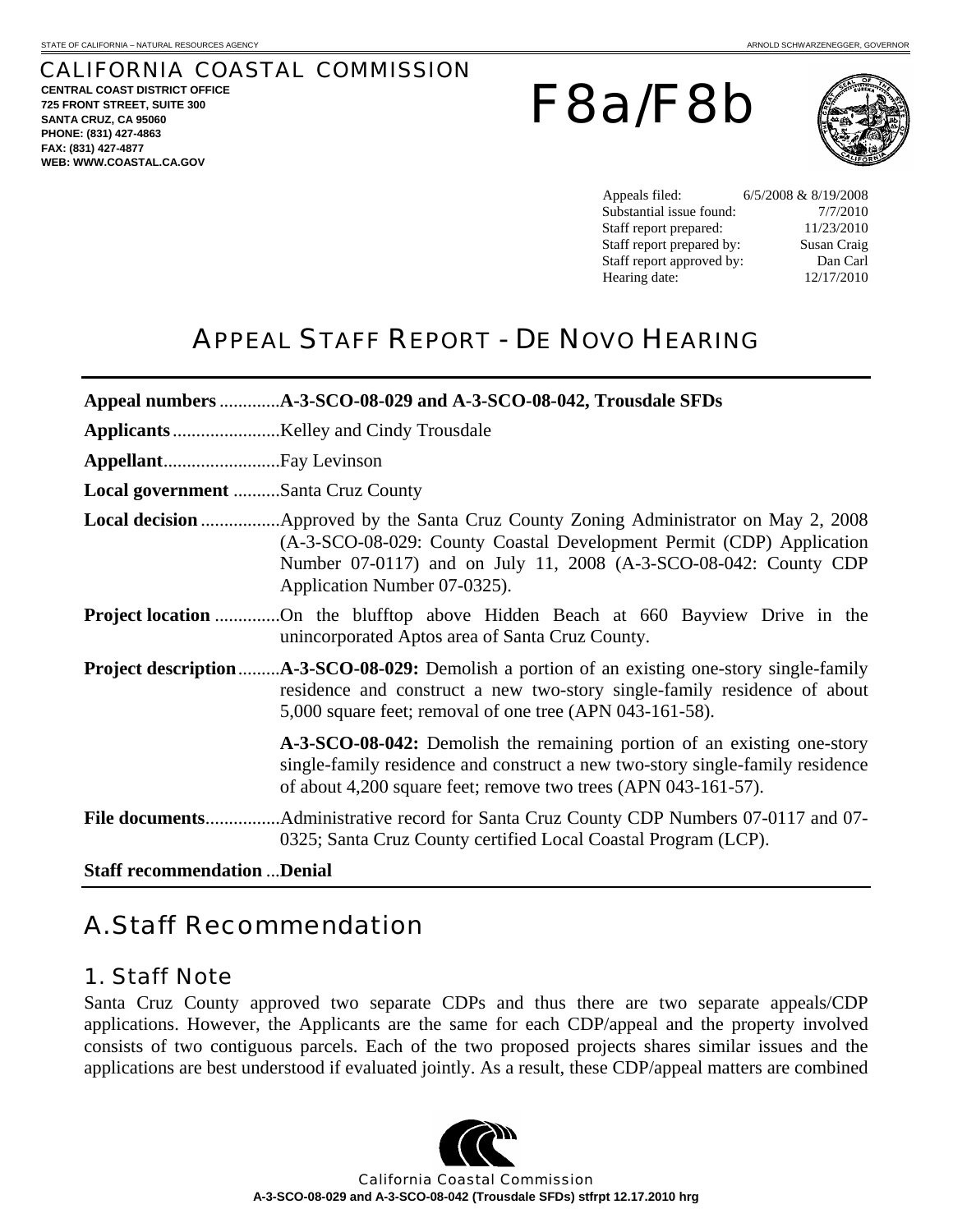# CALIFORNIA COASTAL COMMISSION

**CENTRAL COAST DISTRICT OFFICE 725 FRONT STREET, SUITE 300 SANTA CRUZ, CA 95060 PHONE: (831) 427-4863 FAX: (831) 427-4877 WEB: WWW.COASTAL.CA.GOV**

F8a/F8b



Appeals filed: 6/5/2008 & 8/19/2008 Substantial issue found:  $7/7/2010$ Staff report prepared: 11/23/2010 Staff report prepared by: Susan Craig Staff report approved by: Dan Carl Hearing date: 12/17/2010

# APPEAL STAFF REPORT - DE NOVO HEARING

| Local government Santa Cruz County  |                                                                                                                                                                                                                            |  |  |
|-------------------------------------|----------------------------------------------------------------------------------------------------------------------------------------------------------------------------------------------------------------------------|--|--|
|                                     | (A-3-SCO-08-029: County Coastal Development Permit (CDP) Application<br>Number 07-0117) and on July 11, 2008 (A-3-SCO-08-042: County CDP<br>Application Number 07-0325).                                                   |  |  |
|                                     | <b>Project location</b> On the blufftop above Hidden Beach at 660 Bayview Drive in the<br>unincorporated Aptos area of Santa Cruz County.                                                                                  |  |  |
|                                     | residence and construct a new two-story single-family residence of about<br>5,000 square feet; removal of one tree (APN 043-161-58).                                                                                       |  |  |
|                                     | A-3-SCO-08-042: Demolish the remaining portion of an existing one-story<br>single-family residence and construct a new two-story single-family residence<br>of about 4,200 square feet; remove two trees (APN 043-161-57). |  |  |
|                                     | 0325; Santa Cruz County certified Local Coastal Program (LCP).                                                                                                                                                             |  |  |
| <b>Staff recommendation  Denial</b> |                                                                                                                                                                                                                            |  |  |

# A. Staff Recommendation

# 1. Staff Note

Santa Cruz County approved two separate CDPs and thus there are two separate appeals/CDP applications. However, the Applicants are the same for each CDP/appeal and the property involved consists of two contiguous parcels. Each of the two proposed projects shares similar issues and the applications are best understood if evaluated jointly. As a result, these CDP/appeal matters are combined



California Coastal Commission **A-3-SCO-08-029 and A-3-SCO-08-042 (Trousdale SFDs) stfrpt 12.17.2010 hrg**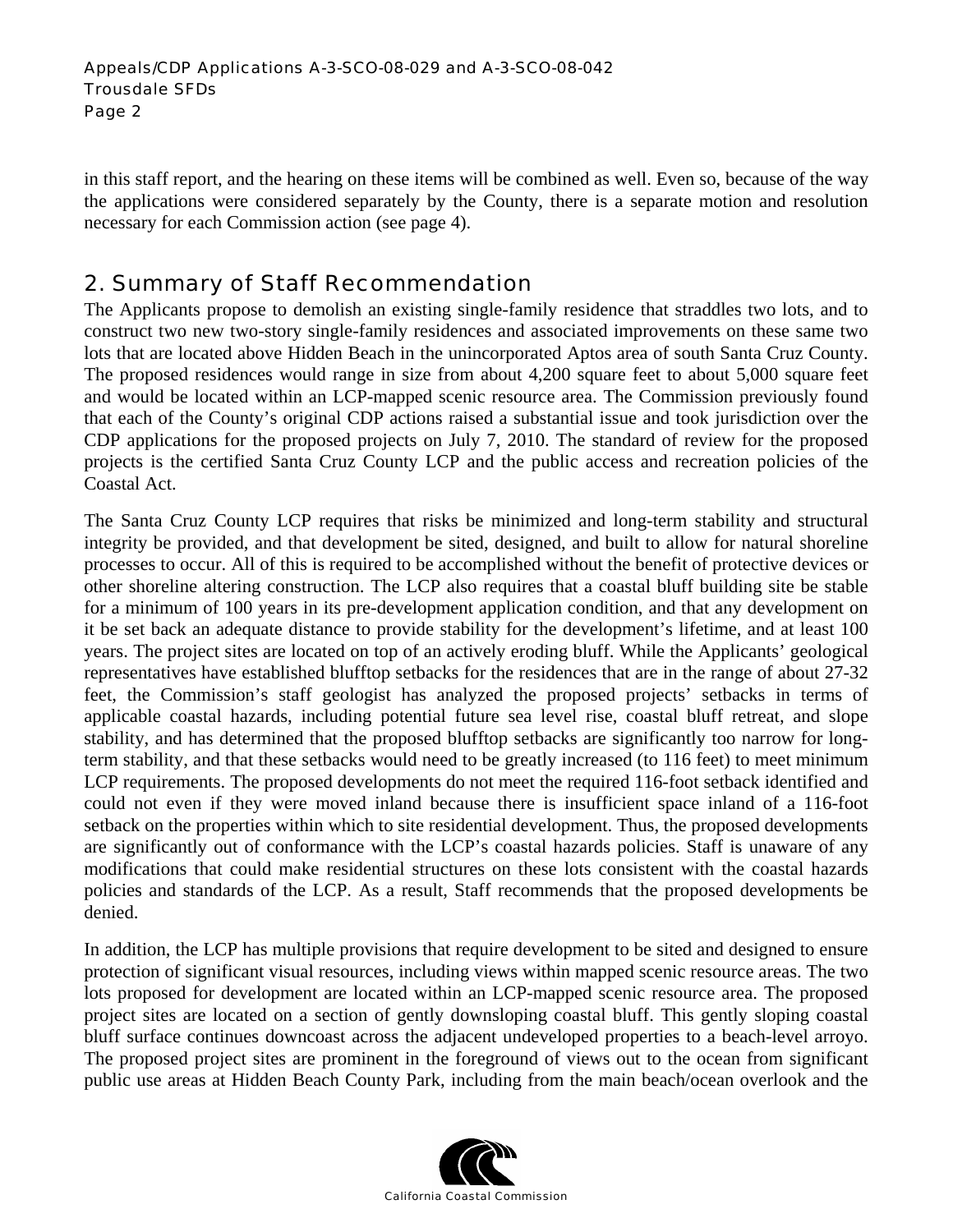in this staff report, and the hearing on these items will be combined as well. Even so, because of the way the applications were considered separately by the County, there is a separate motion and resolution necessary for each Commission action (see page 4).

# 2. Summary of Staff Recommendation

The Applicants propose to demolish an existing single-family residence that straddles two lots, and to construct two new two-story single-family residences and associated improvements on these same two lots that are located above Hidden Beach in the unincorporated Aptos area of south Santa Cruz County. The proposed residences would range in size from about 4,200 square feet to about 5,000 square feet and would be located within an LCP-mapped scenic resource area. The Commission previously found that each of the County's original CDP actions raised a substantial issue and took jurisdiction over the CDP applications for the proposed projects on July 7, 2010. The standard of review for the proposed projects is the certified Santa Cruz County LCP and the public access and recreation policies of the Coastal Act.

The Santa Cruz County LCP requires that risks be minimized and long-term stability and structural integrity be provided, and that development be sited, designed, and built to allow for natural shoreline processes to occur. All of this is required to be accomplished without the benefit of protective devices or other shoreline altering construction. The LCP also requires that a coastal bluff building site be stable for a minimum of 100 years in its pre-development application condition, and that any development on it be set back an adequate distance to provide stability for the development's lifetime, and at least 100 years. The project sites are located on top of an actively eroding bluff. While the Applicants' geological representatives have established blufftop setbacks for the residences that are in the range of about 27-32 feet, the Commission's staff geologist has analyzed the proposed projects' setbacks in terms of applicable coastal hazards, including potential future sea level rise, coastal bluff retreat, and slope stability, and has determined that the proposed blufftop setbacks are significantly too narrow for longterm stability, and that these setbacks would need to be greatly increased (to 116 feet) to meet minimum LCP requirements. The proposed developments do not meet the required 116-foot setback identified and could not even if they were moved inland because there is insufficient space inland of a 116-foot setback on the properties within which to site residential development. Thus, the proposed developments are significantly out of conformance with the LCP's coastal hazards policies. Staff is unaware of any modifications that could make residential structures on these lots consistent with the coastal hazards policies and standards of the LCP. As a result, Staff recommends that the proposed developments be denied.

In addition, the LCP has multiple provisions that require development to be sited and designed to ensure protection of significant visual resources, including views within mapped scenic resource areas. The two lots proposed for development are located within an LCP-mapped scenic resource area. The proposed project sites are located on a section of gently downsloping coastal bluff. This gently sloping coastal bluff surface continues downcoast across the adjacent undeveloped properties to a beach-level arroyo. The proposed project sites are prominent in the foreground of views out to the ocean from significant public use areas at Hidden Beach County Park, including from the main beach/ocean overlook and the

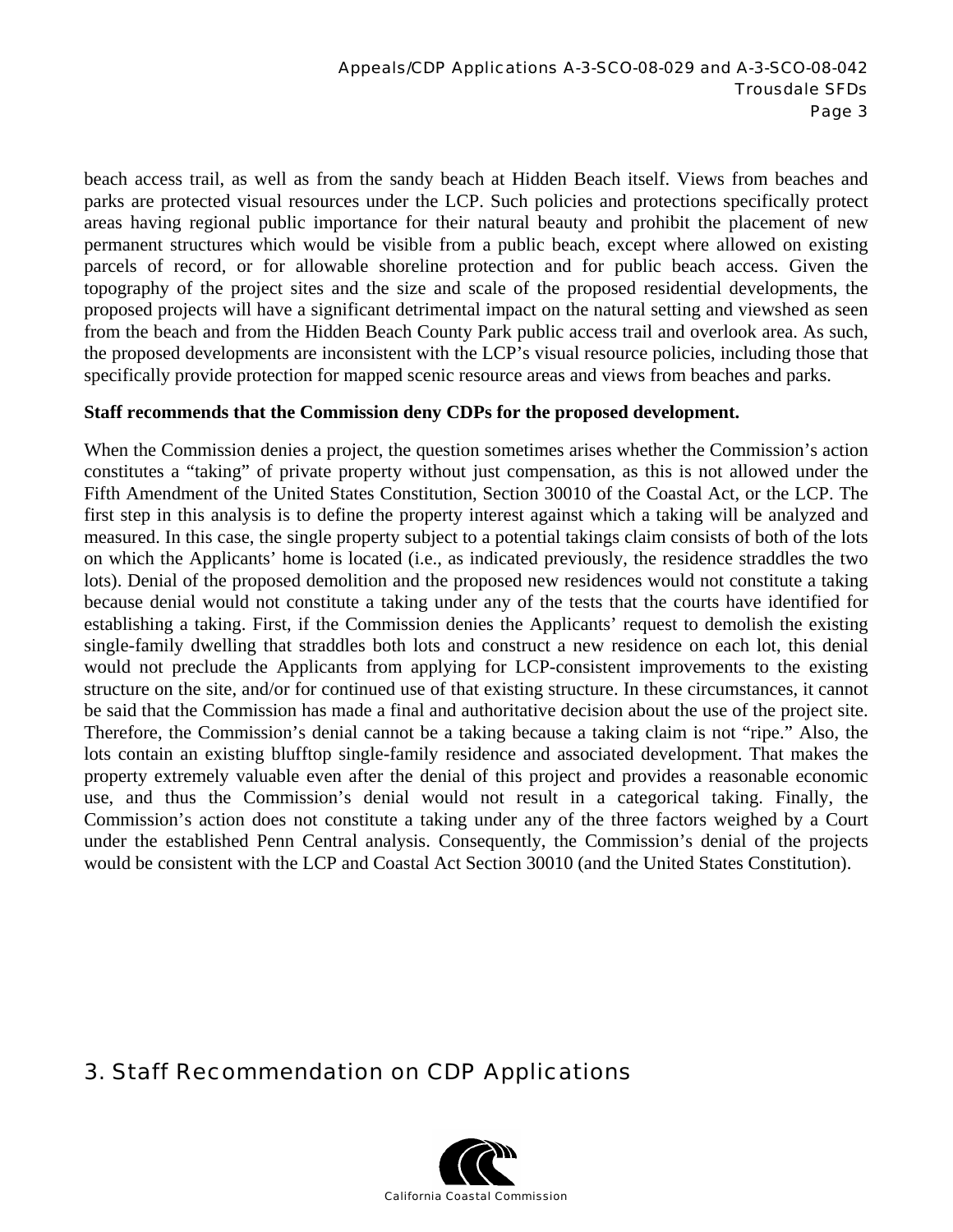beach access trail, as well as from the sandy beach at Hidden Beach itself. Views from beaches and parks are protected visual resources under the LCP. Such policies and protections specifically protect areas having regional public importance for their natural beauty and prohibit the placement of new permanent structures which would be visible from a public beach, except where allowed on existing parcels of record, or for allowable shoreline protection and for public beach access. Given the topography of the project sites and the size and scale of the proposed residential developments, the proposed projects will have a significant detrimental impact on the natural setting and viewshed as seen from the beach and from the Hidden Beach County Park public access trail and overlook area. As such, the proposed developments are inconsistent with the LCP's visual resource policies, including those that specifically provide protection for mapped scenic resource areas and views from beaches and parks.

#### **Staff recommends that the Commission deny CDPs for the proposed development.**

When the Commission denies a project, the question sometimes arises whether the Commission's action constitutes a "taking" of private property without just compensation, as this is not allowed under the Fifth Amendment of the United States Constitution, Section 30010 of the Coastal Act, or the LCP. The first step in this analysis is to define the property interest against which a taking will be analyzed and measured. In this case, the single property subject to a potential takings claim consists of both of the lots on which the Applicants' home is located (i.e., as indicated previously, the residence straddles the two lots). Denial of the proposed demolition and the proposed new residences would not constitute a taking because denial would not constitute a taking under any of the tests that the courts have identified for establishing a taking. First, if the Commission denies the Applicants' request to demolish the existing single-family dwelling that straddles both lots and construct a new residence on each lot, this denial would not preclude the Applicants from applying for LCP-consistent improvements to the existing structure on the site, and/or for continued use of that existing structure. In these circumstances, it cannot be said that the Commission has made a final and authoritative decision about the use of the project site. Therefore, the Commission's denial cannot be a taking because a taking claim is not "ripe." Also, the lots contain an existing blufftop single-family residence and associated development. That makes the property extremely valuable even after the denial of this project and provides a reasonable economic use, and thus the Commission's denial would not result in a categorical taking. Finally, the Commission's action does not constitute a taking under any of the three factors weighed by a Court under the established Penn Central analysis. Consequently, the Commission's denial of the projects would be consistent with the LCP and Coastal Act Section 30010 (and the United States Constitution).

# 3. Staff Recommendation on CDP Applications

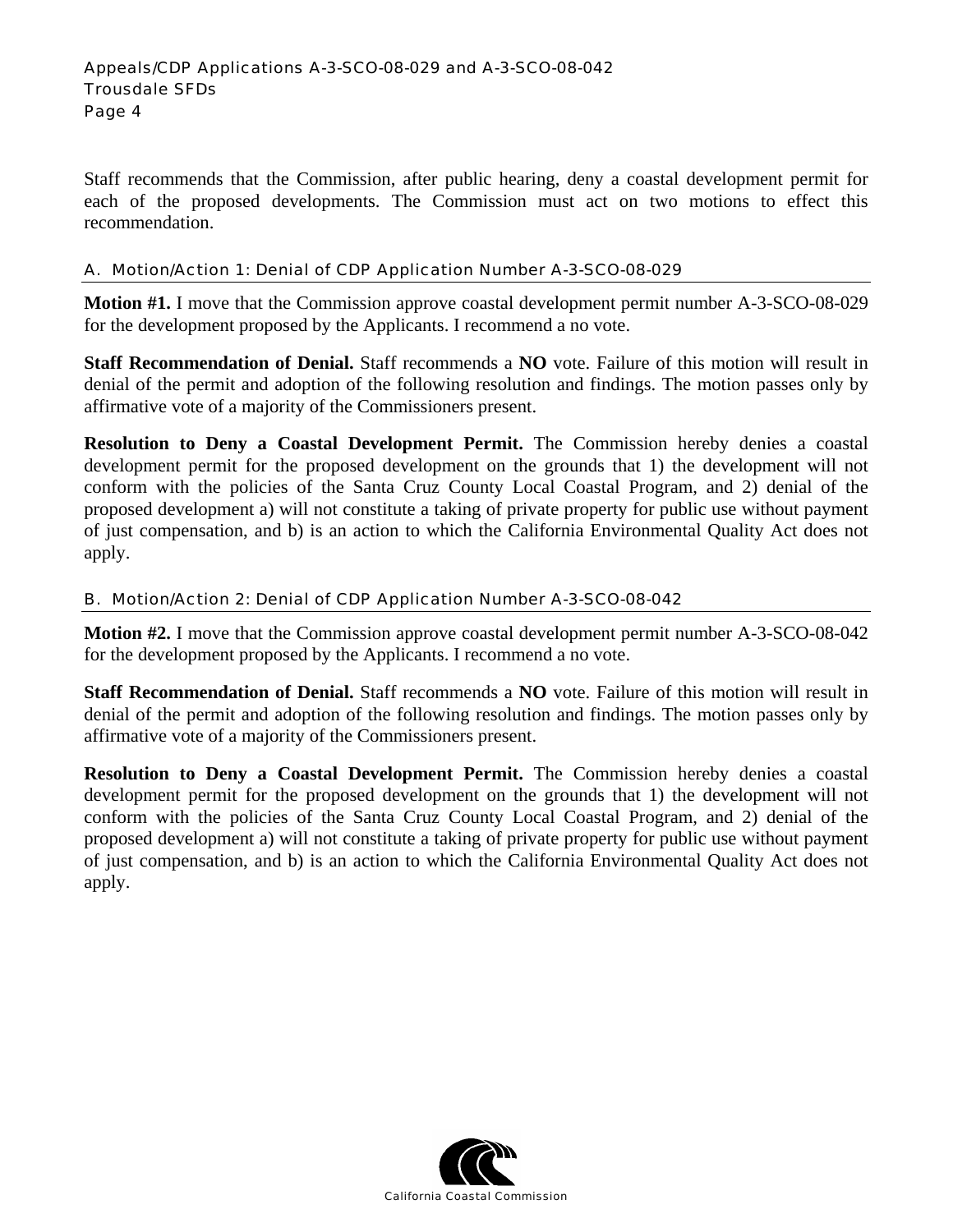#### Appeals/CDP Applications A-3-SCO-08-029 and A-3-SCO-08-042 Trousdale SFDs Page 4

Staff recommends that the Commission, after public hearing, deny a coastal development permit for each of the proposed developments. The Commission must act on two motions to effect this recommendation.

## A. Motion/Action 1: Denial of CDP Application Number A-3-SCO-08-029

**Motion #1.** I move that the Commission approve coastal development permit number A-3-SCO-08-029 for the development proposed by the Applicants. I recommend a no vote.

**Staff Recommendation of Denial.** Staff recommends a **NO** vote. Failure of this motion will result in denial of the permit and adoption of the following resolution and findings. The motion passes only by affirmative vote of a majority of the Commissioners present.

**Resolution to Deny a Coastal Development Permit.** The Commission hereby denies a coastal development permit for the proposed development on the grounds that 1) the development will not conform with the policies of the Santa Cruz County Local Coastal Program, and 2) denial of the proposed development a) will not constitute a taking of private property for public use without payment of just compensation, and b) is an action to which the California Environmental Quality Act does not apply.

## B. Motion/Action 2: Denial of CDP Application Number A-3-SCO-08-042

**Motion #2.** I move that the Commission approve coastal development permit number A-3-SCO-08-042 for the development proposed by the Applicants. I recommend a no vote.

**Staff Recommendation of Denial.** Staff recommends a **NO** vote. Failure of this motion will result in denial of the permit and adoption of the following resolution and findings. The motion passes only by affirmative vote of a majority of the Commissioners present.

**Resolution to Deny a Coastal Development Permit.** The Commission hereby denies a coastal development permit for the proposed development on the grounds that 1) the development will not conform with the policies of the Santa Cruz County Local Coastal Program, and 2) denial of the proposed development a) will not constitute a taking of private property for public use without payment of just compensation, and b) is an action to which the California Environmental Quality Act does not apply.

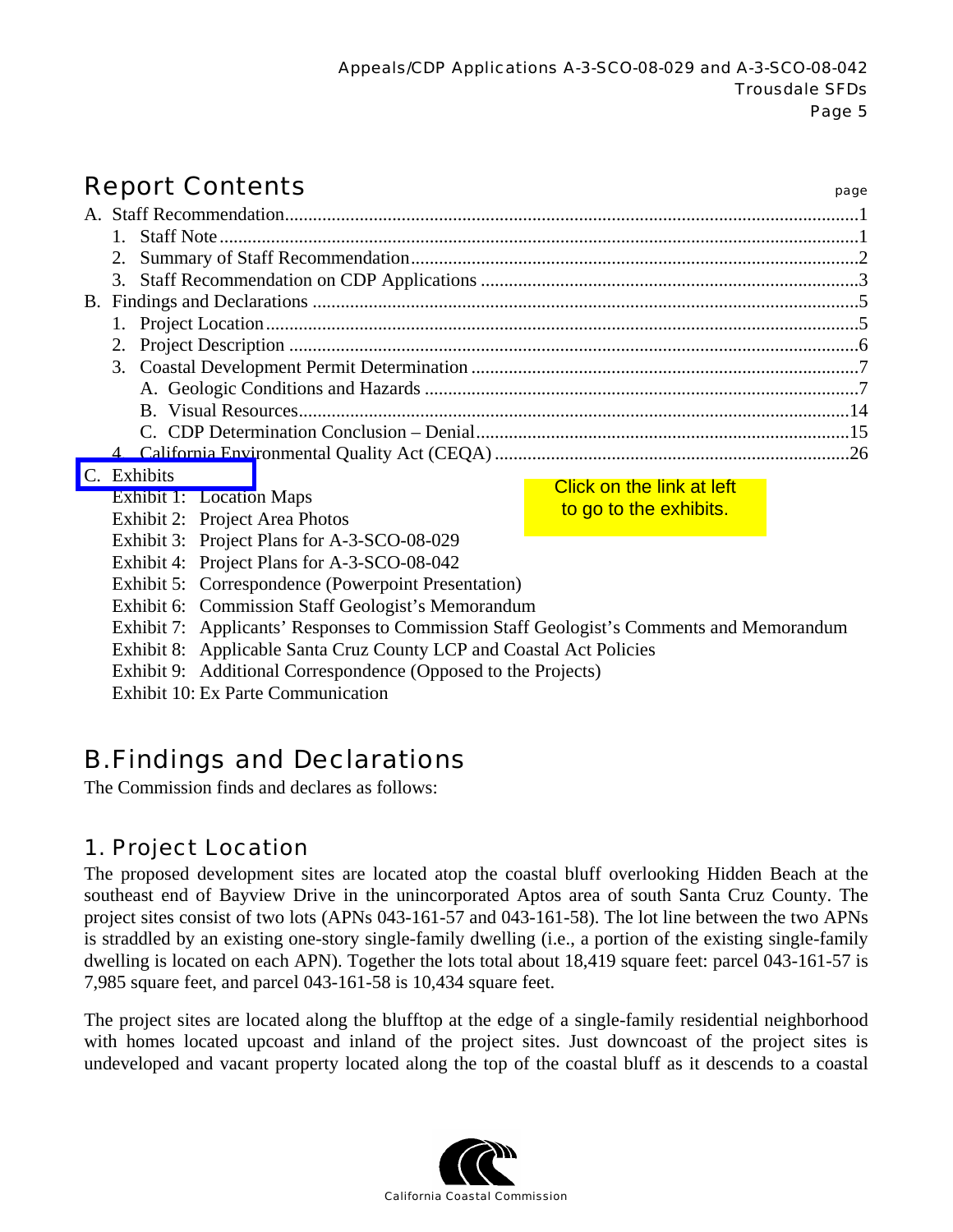# Report Contents **Report Contents**

|                                                                                                                                                          | $1_{-}$                                     |                           |  |  |  |  |                                                                                          |  |  |  |  |  |
|----------------------------------------------------------------------------------------------------------------------------------------------------------|---------------------------------------------|---------------------------|--|--|--|--|------------------------------------------------------------------------------------------|--|--|--|--|--|
|                                                                                                                                                          | 2.                                          |                           |  |  |  |  |                                                                                          |  |  |  |  |  |
|                                                                                                                                                          |                                             |                           |  |  |  |  |                                                                                          |  |  |  |  |  |
|                                                                                                                                                          |                                             |                           |  |  |  |  |                                                                                          |  |  |  |  |  |
|                                                                                                                                                          |                                             |                           |  |  |  |  |                                                                                          |  |  |  |  |  |
|                                                                                                                                                          |                                             |                           |  |  |  |  |                                                                                          |  |  |  |  |  |
|                                                                                                                                                          |                                             |                           |  |  |  |  |                                                                                          |  |  |  |  |  |
|                                                                                                                                                          |                                             |                           |  |  |  |  |                                                                                          |  |  |  |  |  |
|                                                                                                                                                          |                                             |                           |  |  |  |  |                                                                                          |  |  |  |  |  |
|                                                                                                                                                          |                                             |                           |  |  |  |  |                                                                                          |  |  |  |  |  |
|                                                                                                                                                          |                                             |                           |  |  |  |  |                                                                                          |  |  |  |  |  |
| C.                                                                                                                                                       | Exhibits                                    | Click on the link at left |  |  |  |  |                                                                                          |  |  |  |  |  |
|                                                                                                                                                          | Exhibit 1: Location Maps                    | to go to the exhibits.    |  |  |  |  |                                                                                          |  |  |  |  |  |
|                                                                                                                                                          | Exhibit 2: Project Area Photos              |                           |  |  |  |  |                                                                                          |  |  |  |  |  |
|                                                                                                                                                          | Exhibit 3: Project Plans for A-3-SCO-08-029 |                           |  |  |  |  |                                                                                          |  |  |  |  |  |
| Exhibit 4: Project Plans for A-3-SCO-08-042<br>Exhibit 5: Correspondence (Powerpoint Presentation)<br>Exhibit 6: Commission Staff Geologist's Memorandum |                                             |                           |  |  |  |  |                                                                                          |  |  |  |  |  |
|                                                                                                                                                          |                                             |                           |  |  |  |  | Exhibit 7: Applicants' Responses to Commission Staff Geologist's Comments and Memorandum |  |  |  |  |  |
|                                                                                                                                                          |                                             |                           |  |  |  |  | Exhibit 8: Applicable Santa Cruz County LCP and Coastal Act Policies                     |  |  |  |  |  |
| Exhibit 9: Additional Correspondence (Opposed to the Projects)                                                                                           |                                             |                           |  |  |  |  |                                                                                          |  |  |  |  |  |
|                                                                                                                                                          |                                             |                           |  |  |  |  |                                                                                          |  |  |  |  |  |

Exhibit 10: Ex Parte Communication

# B. Findings and Declarations

The Commission finds and declares as follows:

# 1. Project Location

The proposed development sites are located atop the coastal bluff overlooking Hidden Beach at the southeast end of Bayview Drive in the unincorporated Aptos area of south Santa Cruz County. The project sites consist of two lots (APNs 043-161-57 and 043-161-58). The lot line between the two APNs is straddled by an existing one-story single-family dwelling (i.e., a portion of the existing single-family dwelling is located on each APN). Together the lots total about 18,419 square feet: parcel 043-161-57 is 7,985 square feet, and parcel 043-161-58 is 10,434 square feet.

The project sites are located along the blufftop at the edge of a single-family residential neighborhood with homes located upcoast and inland of the project sites. Just downcoast of the project sites is undeveloped and vacant property located along the top of the coastal bluff as it descends to a coastal

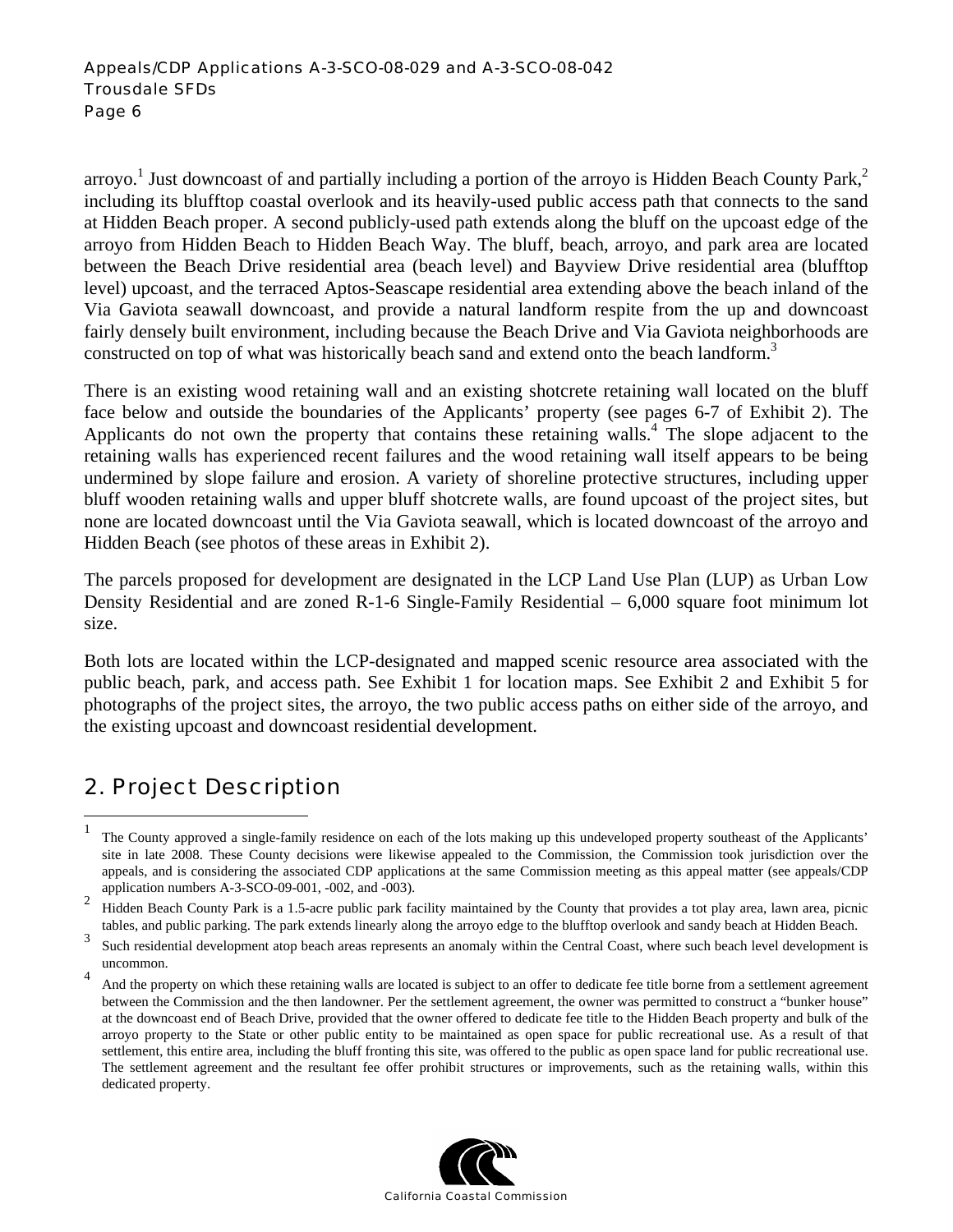arroyo.<sup>1</sup> Just downcoast of and partially including a portion of the arroyo is Hidden Beach County Park,<sup>2</sup> including its blufftop coastal overlook and its heavily-used public access path that connects to the sand at Hidden Beach proper. A second publicly-used path extends along the bluff on the upcoast edge of the arroyo from Hidden Beach to Hidden Beach Way. The bluff, beach, arroyo, and park area are located between the Beach Drive residential area (beach level) and Bayview Drive residential area (blufftop level) upcoast, and the terraced Aptos-Seascape residential area extending above the beach inland of the Via Gaviota seawall downcoast, and provide a natural landform respite from the up and downcoast fairly densely built environment, including because the Beach Drive and Via Gaviota neighborhoods are constructed on top of what was historically beach sand and extend onto the beach landform.<sup>3</sup>

There is an existing wood retaining wall and an existing shotcrete retaining wall located on the bluff face below and outside the boundaries of the Applicants' property (see pages 6-7 of Exhibit 2). The Applicants do not own the property that contains these retaining walls.<sup>4</sup> The slope adjacent to the retaining walls has experienced recent failures and the wood retaining wall itself appears to be being undermined by slope failure and erosion. A variety of shoreline protective structures, including upper bluff wooden retaining walls and upper bluff shotcrete walls, are found upcoast of the project sites, but none are located downcoast until the Via Gaviota seawall, which is located downcoast of the arroyo and Hidden Beach (see photos of these areas in Exhibit 2).

The parcels proposed for development are designated in the LCP Land Use Plan (LUP) as Urban Low Density Residential and are zoned R-1-6 Single-Family Residential – 6,000 square foot minimum lot size.

Both lots are located within the LCP-designated and mapped scenic resource area associated with the public beach, park, and access path. See Exhibit 1 for location maps. See Exhibit 2 and Exhibit 5 for photographs of the project sites, the arroyo, the two public access paths on either side of the arroyo, and the existing upcoast and downcoast residential development.

# 2. Project Description

 $\overline{a}$ 

And the property on which these retaining walls are located is subject to an offer to dedicate fee title borne from a settlement agreement between the Commission and the then landowner. Per the settlement agreement, the owner was permitted to construct a "bunker house" at the downcoast end of Beach Drive, provided that the owner offered to dedicate fee title to the Hidden Beach property and bulk of the arroyo property to the State or other public entity to be maintained as open space for public recreational use. As a result of that settlement, this entire area, including the bluff fronting this site, was offered to the public as open space land for public recreational use. The settlement agreement and the resultant fee offer prohibit structures or improvements, such as the retaining walls, within this dedicated property.



<sup>1</sup> The County approved a single-family residence on each of the lots making up this undeveloped property southeast of the Applicants' site in late 2008. These County decisions were likewise appealed to the Commission, the Commission took jurisdiction over the appeals, and is considering the associated CDP applications at the same Commission meeting as this appeal matter (see appeals/CDP application numbers A-3-SCO-09-001, -002, and -003).

<sup>2</sup> Hidden Beach County Park is a 1.5-acre public park facility maintained by the County that provides a tot play area, lawn area, picnic tables, and public parking. The park extends linearly along the arroyo edge to the blufftop overlook and sandy beach at Hidden Beach.

<sup>3</sup> Such residential development atop beach areas represents an anomaly within the Central Coast, where such beach level development is uncommon.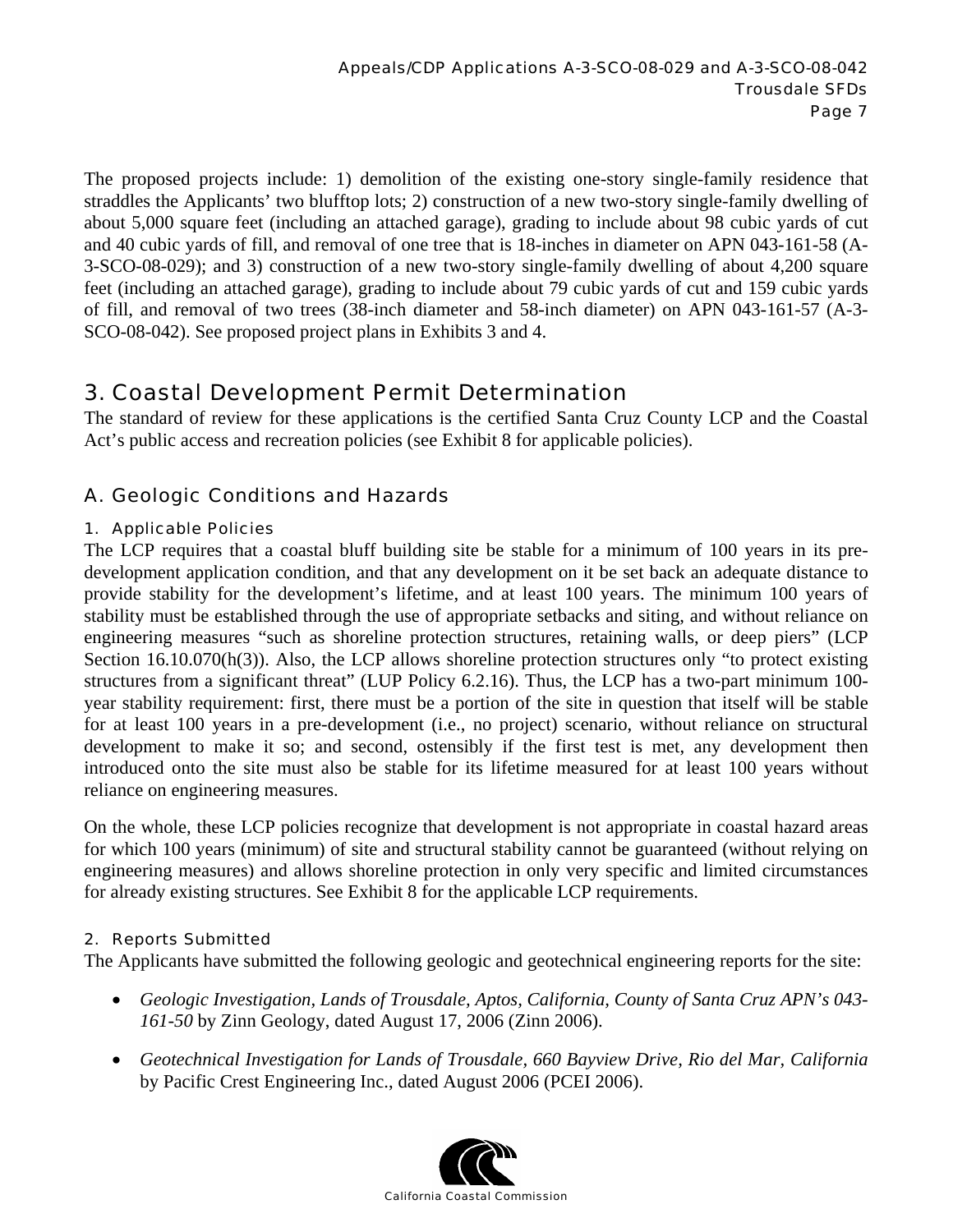The proposed projects include: 1) demolition of the existing one-story single-family residence that straddles the Applicants' two blufftop lots; 2) construction of a new two-story single-family dwelling of about 5,000 square feet (including an attached garage), grading to include about 98 cubic yards of cut and 40 cubic yards of fill, and removal of one tree that is 18-inches in diameter on APN 043-161-58 (A-3-SCO-08-029); and 3) construction of a new two-story single-family dwelling of about 4,200 square feet (including an attached garage), grading to include about 79 cubic yards of cut and 159 cubic yards of fill, and removal of two trees (38-inch diameter and 58-inch diameter) on APN 043-161-57 (A-3- SCO-08-042). See proposed project plans in Exhibits 3 and 4.

# 3. Coastal Development Permit Determination

The standard of review for these applications is the certified Santa Cruz County LCP and the Coastal Act's public access and recreation policies (see Exhibit 8 for applicable policies).

# A. Geologic Conditions and Hazards

## 1. Applicable Policies

The LCP requires that a coastal bluff building site be stable for a minimum of 100 years in its predevelopment application condition, and that any development on it be set back an adequate distance to provide stability for the development's lifetime, and at least 100 years. The minimum 100 years of stability must be established through the use of appropriate setbacks and siting, and without reliance on engineering measures "such as shoreline protection structures, retaining walls, or deep piers" (LCP Section 16.10.070(h(3)). Also, the LCP allows shoreline protection structures only "to protect existing structures from a significant threat" (LUP Policy 6.2.16). Thus, the LCP has a two-part minimum 100 year stability requirement: first, there must be a portion of the site in question that itself will be stable for at least 100 years in a pre-development (i.e., no project) scenario, without reliance on structural development to make it so; and second, ostensibly if the first test is met, any development then introduced onto the site must also be stable for its lifetime measured for at least 100 years without reliance on engineering measures.

On the whole, these LCP policies recognize that development is not appropriate in coastal hazard areas for which 100 years (minimum) of site and structural stability cannot be guaranteed (without relying on engineering measures) and allows shoreline protection in only very specific and limited circumstances for already existing structures. See Exhibit 8 for the applicable LCP requirements.

## 2. Reports Submitted

The Applicants have submitted the following geologic and geotechnical engineering reports for the site:

- *Geologic Investigation, Lands of Trousdale, Aptos, California, County of Santa Cruz APN's 043- 161-50* by Zinn Geology, dated August 17, 2006 (Zinn 2006).
- *Geotechnical Investigation for Lands of Trousdale, 660 Bayview Drive, Rio del Mar, California*  by Pacific Crest Engineering Inc., dated August 2006 (PCEI 2006).

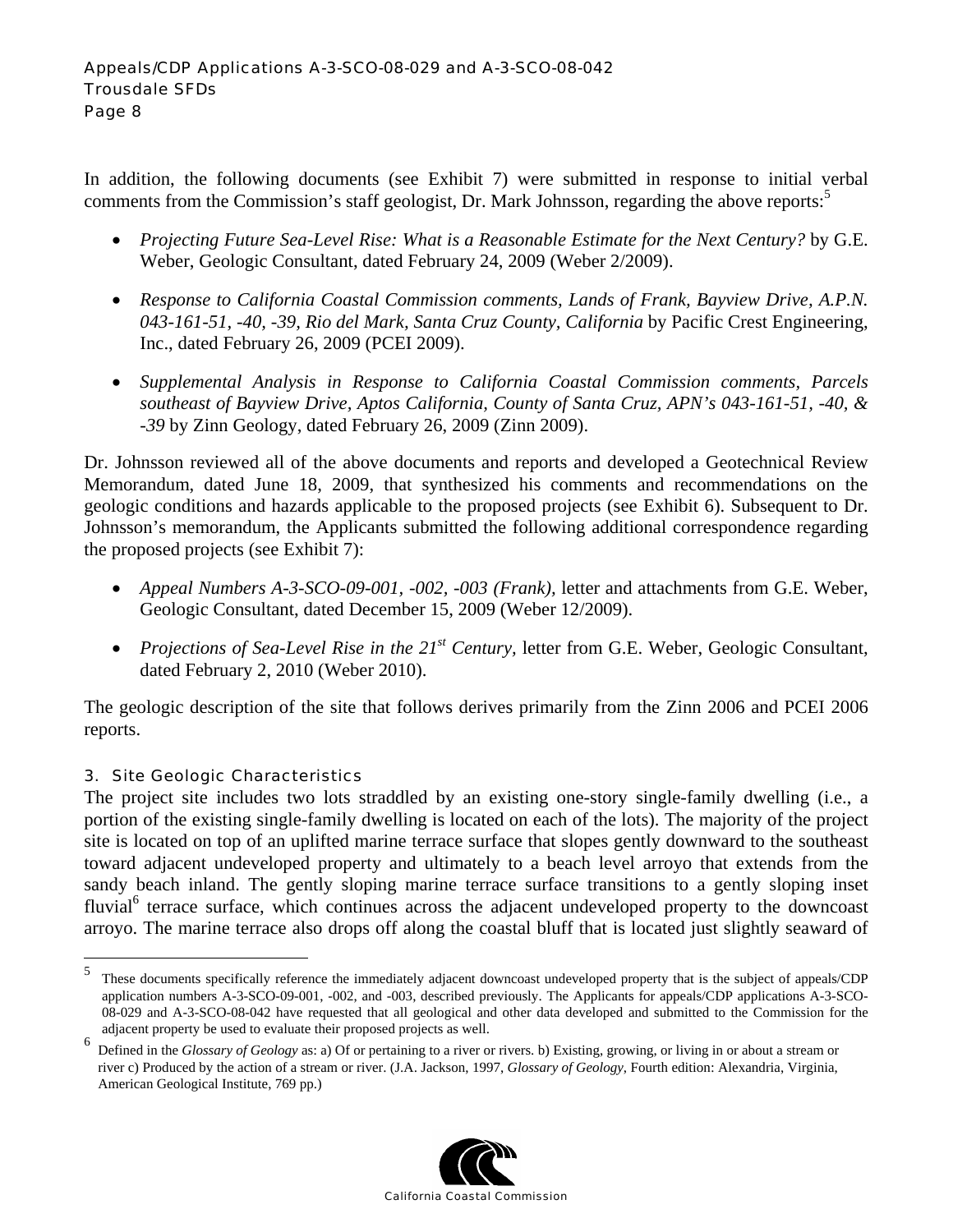In addition, the following documents (see Exhibit 7) were submitted in response to initial verbal comments from the Commission's staff geologist, Dr. Mark Johnsson, regarding the above reports:<sup>5</sup>

- *Projecting Future Sea-Level Rise: What is a Reasonable Estimate for the Next Century?* by G.E. Weber, Geologic Consultant, dated February 24, 2009 (Weber 2/2009).
- *Response to California Coastal Commission comments, Lands of Frank, Bayview Drive, A.P.N. 043-161-51, -40, -39, Rio del Mark, Santa Cruz County, California* by Pacific Crest Engineering, Inc., dated February 26, 2009 (PCEI 2009).
- *Supplemental Analysis in Response to California Coastal Commission comments, Parcels southeast of Bayview Drive, Aptos California, County of Santa Cruz, APN's 043-161-51, -40, & -39* by Zinn Geology, dated February 26, 2009 (Zinn 2009).

Dr. Johnsson reviewed all of the above documents and reports and developed a Geotechnical Review Memorandum, dated June 18, 2009, that synthesized his comments and recommendations on the geologic conditions and hazards applicable to the proposed projects (see Exhibit 6). Subsequent to Dr. Johnsson's memorandum, the Applicants submitted the following additional correspondence regarding the proposed projects (see Exhibit 7):

- *Appeal Numbers A-3-SCO-09-001, -002, -003 (Frank),* letter and attachments from G.E. Weber, Geologic Consultant, dated December 15, 2009 (Weber 12/2009).
- *Projections of Sea-Level Rise in the 21<sup>st</sup> Century*, letter from G.E. Weber, Geologic Consultant, dated February 2, 2010 (Weber 2010).

The geologic description of the site that follows derives primarily from the Zinn 2006 and PCEI 2006 reports.

## 3. Site Geologic Characteristics

1

The project site includes two lots straddled by an existing one-story single-family dwelling (i.e., a portion of the existing single-family dwelling is located on each of the lots). The majority of the project site is located on top of an uplifted marine terrace surface that slopes gently downward to the southeast toward adjacent undeveloped property and ultimately to a beach level arroyo that extends from the sandy beach inland. The gently sloping marine terrace surface transitions to a gently sloping inset fluvial<sup>6</sup> terrace surface, which continues across the adjacent undeveloped property to the downcoast arroyo. The marine terrace also drops off along the coastal bluff that is located just slightly seaward of

<sup>6</sup> Defined in the *Glossary of Geology* as: a) Of or pertaining to a river or rivers. b) Existing, growing, or living in or about a stream or river c) Produced by the action of a stream or river. (J.A. Jackson, 1997, *Glossary of Geology*, Fourth edition: Alexandria, Virginia, American Geological Institute, 769 pp.)



<sup>5</sup> These documents specifically reference the immediately adjacent downcoast undeveloped property that is the subject of appeals/CDP application numbers A-3-SCO-09-001, -002, and -003, described previously. The Applicants for appeals/CDP applications A-3-SCO-08-029 and A-3-SCO-08-042 have requested that all geological and other data developed and submitted to the Commission for the adjacent property be used to evaluate their proposed projects as well.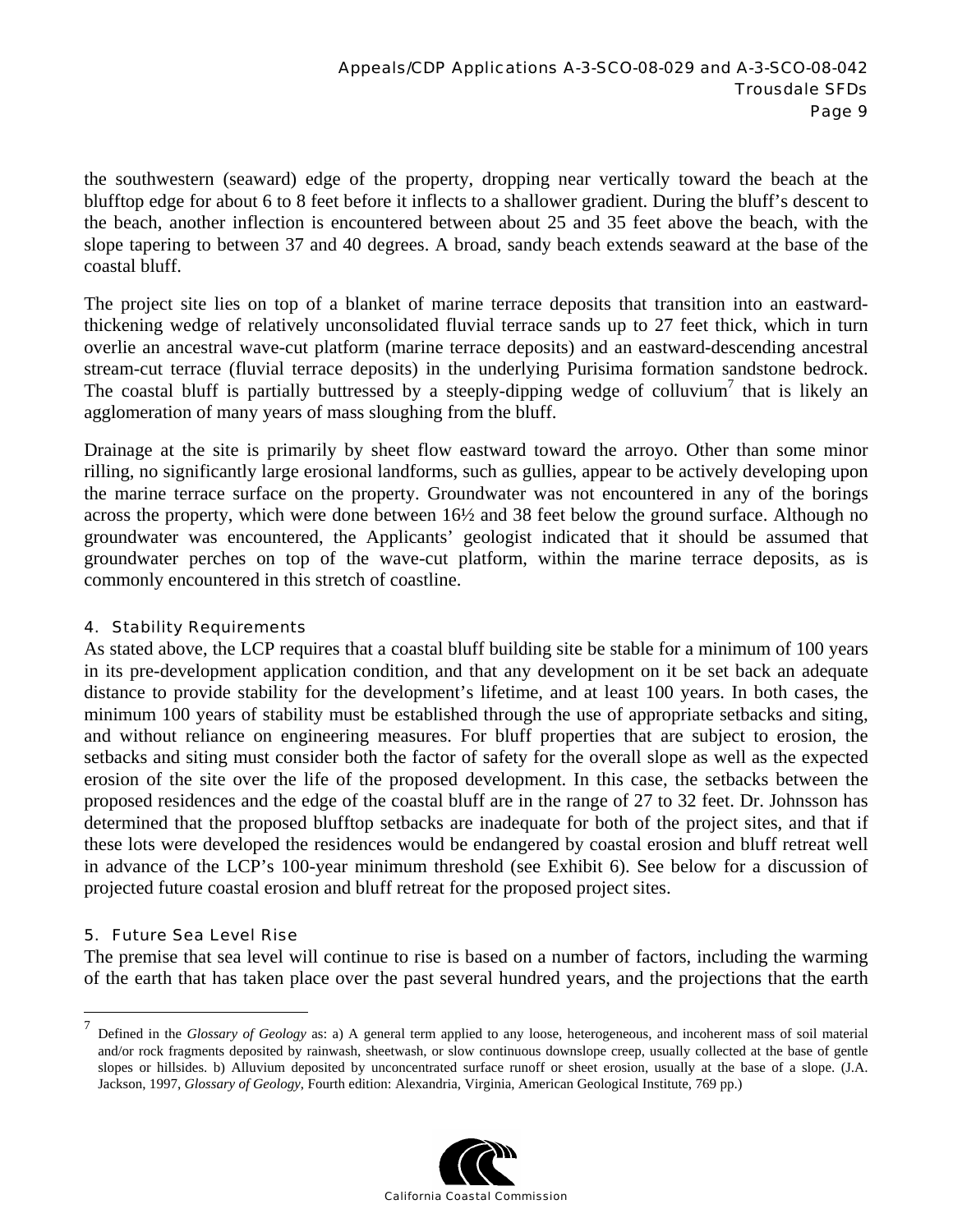the southwestern (seaward) edge of the property, dropping near vertically toward the beach at the blufftop edge for about 6 to 8 feet before it inflects to a shallower gradient. During the bluff's descent to the beach, another inflection is encountered between about 25 and 35 feet above the beach, with the slope tapering to between 37 and 40 degrees. A broad, sandy beach extends seaward at the base of the coastal bluff.

The project site lies on top of a blanket of marine terrace deposits that transition into an eastwardthickening wedge of relatively unconsolidated fluvial terrace sands up to 27 feet thick, which in turn overlie an ancestral wave-cut platform (marine terrace deposits) and an eastward-descending ancestral stream-cut terrace (fluvial terrace deposits) in the underlying Purisima formation sandstone bedrock. The coastal bluff is partially buttressed by a steeply-dipping wedge of colluvium<sup>7</sup> that is likely an agglomeration of many years of mass sloughing from the bluff.

Drainage at the site is primarily by sheet flow eastward toward the arroyo. Other than some minor rilling, no significantly large erosional landforms, such as gullies, appear to be actively developing upon the marine terrace surface on the property. Groundwater was not encountered in any of the borings across the property, which were done between 16½ and 38 feet below the ground surface. Although no groundwater was encountered, the Applicants' geologist indicated that it should be assumed that groundwater perches on top of the wave-cut platform, within the marine terrace deposits, as is commonly encountered in this stretch of coastline.

#### 4. Stability Requirements

As stated above, the LCP requires that a coastal bluff building site be stable for a minimum of 100 years in its pre-development application condition, and that any development on it be set back an adequate distance to provide stability for the development's lifetime, and at least 100 years. In both cases, the minimum 100 years of stability must be established through the use of appropriate setbacks and siting, and without reliance on engineering measures. For bluff properties that are subject to erosion, the setbacks and siting must consider both the factor of safety for the overall slope as well as the expected erosion of the site over the life of the proposed development. In this case, the setbacks between the proposed residences and the edge of the coastal bluff are in the range of 27 to 32 feet. Dr. Johnsson has determined that the proposed blufftop setbacks are inadequate for both of the project sites, and that if these lots were developed the residences would be endangered by coastal erosion and bluff retreat well in advance of the LCP's 100-year minimum threshold (see Exhibit 6). See below for a discussion of projected future coastal erosion and bluff retreat for the proposed project sites.

#### 5. Future Sea Level Rise

 $\overline{a}$ 

The premise that sea level will continue to rise is based on a number of factors, including the warming of the earth that has taken place over the past several hundred years, and the projections that the earth

<sup>7</sup> Defined in the *Glossary of Geology* as: a) A general term applied to any loose, heterogeneous, and incoherent mass of soil material and/or rock fragments deposited by rainwash, sheetwash, or slow continuous downslope creep, usually collected at the base of gentle slopes or hillsides. b) Alluvium deposited by unconcentrated surface runoff or sheet erosion, usually at the base of a slope. (J.A. Jackson, 1997, *Glossary of Geology*, Fourth edition: Alexandria, Virginia, American Geological Institute, 769 pp.)

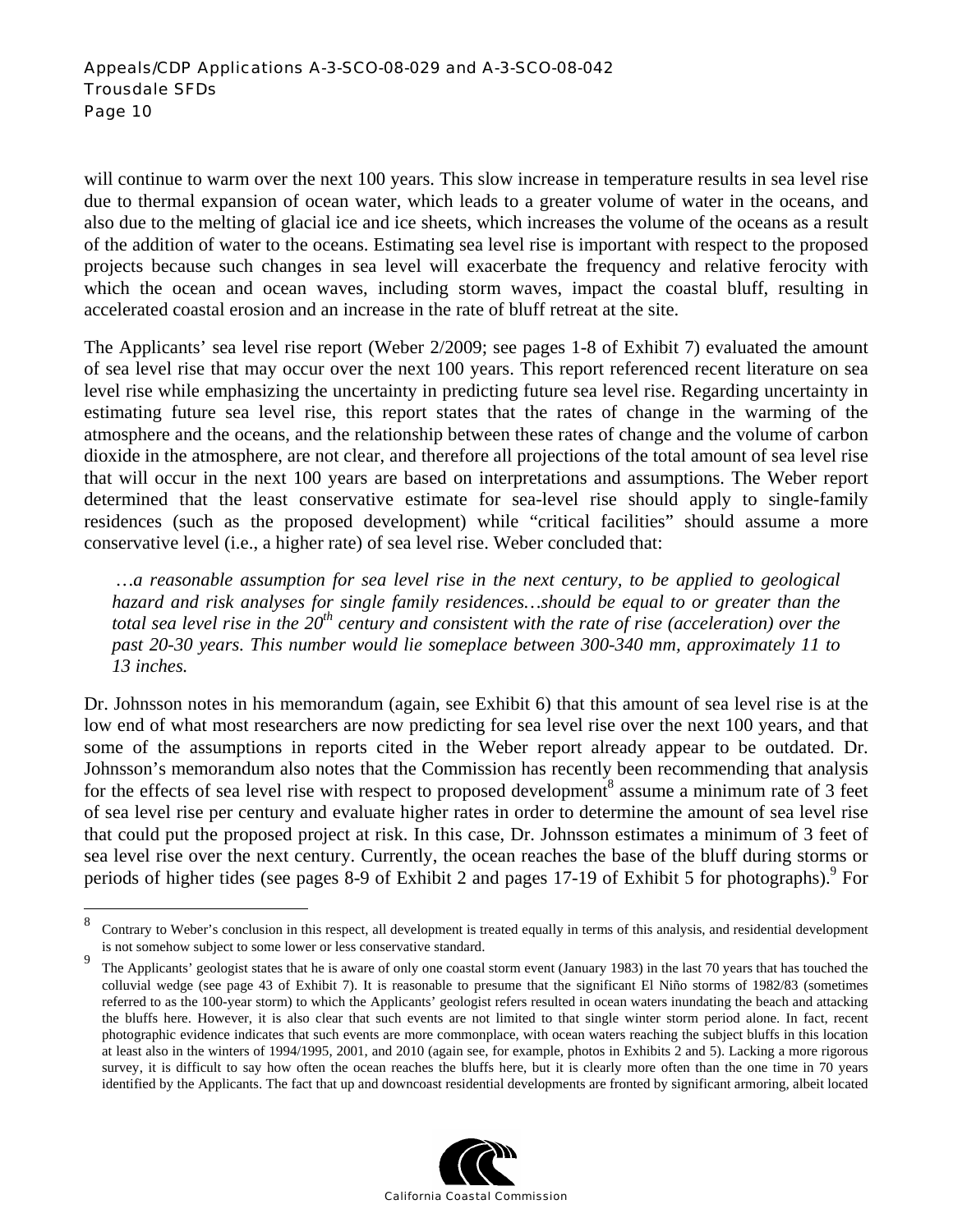will continue to warm over the next 100 years. This slow increase in temperature results in sea level rise due to thermal expansion of ocean water, which leads to a greater volume of water in the oceans, and also due to the melting of glacial ice and ice sheets, which increases the volume of the oceans as a result of the addition of water to the oceans. Estimating sea level rise is important with respect to the proposed projects because such changes in sea level will exacerbate the frequency and relative ferocity with which the ocean and ocean waves, including storm waves, impact the coastal bluff, resulting in accelerated coastal erosion and an increase in the rate of bluff retreat at the site.

The Applicants' sea level rise report (Weber 2/2009; see pages 1-8 of Exhibit 7) evaluated the amount of sea level rise that may occur over the next 100 years. This report referenced recent literature on sea level rise while emphasizing the uncertainty in predicting future sea level rise. Regarding uncertainty in estimating future sea level rise, this report states that the rates of change in the warming of the atmosphere and the oceans, and the relationship between these rates of change and the volume of carbon dioxide in the atmosphere, are not clear, and therefore all projections of the total amount of sea level rise that will occur in the next 100 years are based on interpretations and assumptions. The Weber report determined that the least conservative estimate for sea-level rise should apply to single-family residences (such as the proposed development) while "critical facilities" should assume a more conservative level (i.e., a higher rate) of sea level rise. Weber concluded that:

 *…a reasonable assumption for sea level rise in the next century, to be applied to geological hazard and risk analyses for single family residences…should be equal to or greater than the total sea level rise in the 20<sup>th</sup> century and consistent with the rate of rise (acceleration) over the past 20-30 years. This number would lie someplace between 300-340 mm, approximately 11 to 13 inches.* 

Dr. Johnsson notes in his memorandum (again, see Exhibit 6) that this amount of sea level rise is at the low end of what most researchers are now predicting for sea level rise over the next 100 years, and that some of the assumptions in reports cited in the Weber report already appear to be outdated. Dr. Johnsson's memorandum also notes that the Commission has recently been recommending that analysis for the effects of sea level rise with respect to proposed development<sup>8</sup> assume a minimum rate of 3 feet of sea level rise per century and evaluate higher rates in order to determine the amount of sea level rise that could put the proposed project at risk. In this case, Dr. Johnsson estimates a minimum of 3 feet of sea level rise over the next century. Currently, the ocean reaches the base of the bluff during storms or periods of higher tides (see pages  $8-9$  of Exhibit 2 and pages 17-19 of Exhibit 5 for photographs). For

<u>.</u>

<sup>9</sup> The Applicants' geologist states that he is aware of only one coastal storm event (January 1983) in the last 70 years that has touched the colluvial wedge (see page 43 of Exhibit 7). It is reasonable to presume that the significant El Niño storms of 1982/83 (sometimes referred to as the 100-year storm) to which the Applicants' geologist refers resulted in ocean waters inundating the beach and attacking the bluffs here. However, it is also clear that such events are not limited to that single winter storm period alone. In fact, recent photographic evidence indicates that such events are more commonplace, with ocean waters reaching the subject bluffs in this location at least also in the winters of 1994/1995, 2001, and 2010 (again see, for example, photos in Exhibits 2 and 5). Lacking a more rigorous survey, it is difficult to say how often the ocean reaches the bluffs here, but it is clearly more often than the one time in 70 years identified by the Applicants. The fact that up and downcoast residential developments are fronted by significant armoring, albeit located



<sup>8</sup> Contrary to Weber's conclusion in this respect, all development is treated equally in terms of this analysis, and residential development is not somehow subject to some lower or less conservative standard.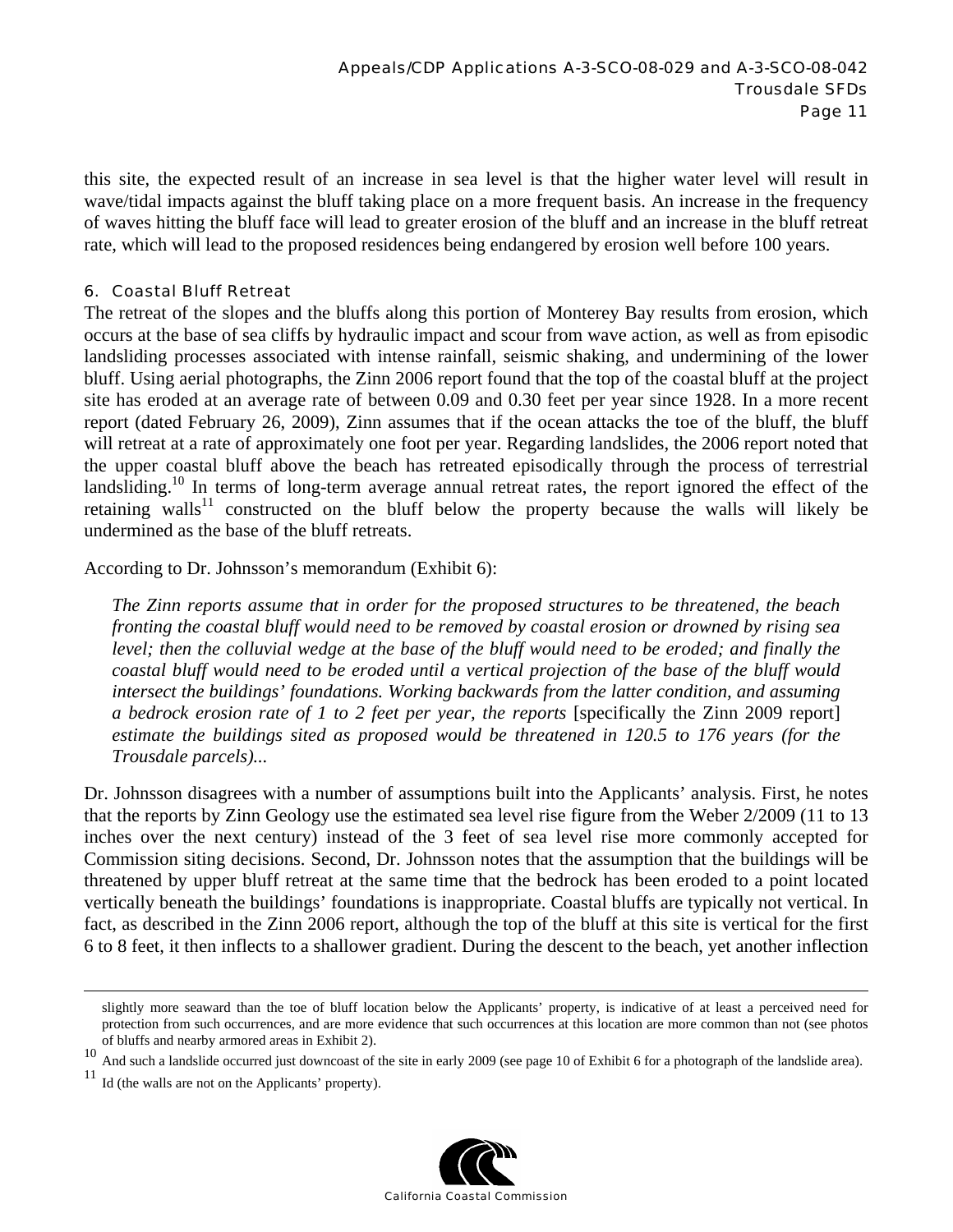this site, the expected result of an increase in sea level is that the higher water level will result in wave/tidal impacts against the bluff taking place on a more frequent basis. An increase in the frequency of waves hitting the bluff face will lead to greater erosion of the bluff and an increase in the bluff retreat rate, which will lead to the proposed residences being endangered by erosion well before 100 years.

#### 6. Coastal Bluff Retreat

The retreat of the slopes and the bluffs along this portion of Monterey Bay results from erosion, which occurs at the base of sea cliffs by hydraulic impact and scour from wave action, as well as from episodic landsliding processes associated with intense rainfall, seismic shaking, and undermining of the lower bluff. Using aerial photographs, the Zinn 2006 report found that the top of the coastal bluff at the project site has eroded at an average rate of between 0.09 and 0.30 feet per year since 1928. In a more recent report (dated February 26, 2009), Zinn assumes that if the ocean attacks the toe of the bluff, the bluff will retreat at a rate of approximately one foot per year. Regarding landslides, the 2006 report noted that the upper coastal bluff above the beach has retreated episodically through the process of terrestrial landsliding.<sup>10</sup> In terms of long-term average annual retreat rates, the report ignored the effect of the retaining walls<sup>11</sup> constructed on the bluff below the property because the walls will likely be undermined as the base of the bluff retreats.

According to Dr. Johnsson's memorandum (Exhibit 6):

*The Zinn reports assume that in order for the proposed structures to be threatened, the beach fronting the coastal bluff would need to be removed by coastal erosion or drowned by rising sea level; then the colluvial wedge at the base of the bluff would need to be eroded; and finally the coastal bluff would need to be eroded until a vertical projection of the base of the bluff would intersect the buildings' foundations. Working backwards from the latter condition, and assuming a bedrock erosion rate of 1 to 2 feet per year, the reports* [specifically the Zinn 2009 report] *estimate the buildings sited as proposed would be threatened in 120.5 to 176 years (for the Trousdale parcels)...* 

Dr. Johnsson disagrees with a number of assumptions built into the Applicants' analysis. First, he notes that the reports by Zinn Geology use the estimated sea level rise figure from the Weber 2/2009 (11 to 13 inches over the next century) instead of the 3 feet of sea level rise more commonly accepted for Commission siting decisions. Second, Dr. Johnsson notes that the assumption that the buildings will be threatened by upper bluff retreat at the same time that the bedrock has been eroded to a point located vertically beneath the buildings' foundations is inappropriate. Coastal bluffs are typically not vertical. In fact, as described in the Zinn 2006 report, although the top of the bluff at this site is vertical for the first 6 to 8 feet, it then inflects to a shallower gradient. During the descent to the beach, yet another inflection

Id (the walls are not on the Applicants' property).



slightly more seaward than the toe of bluff location below the Applicants' property, is indicative of at least a perceived need for protection from such occurrences, and are more evidence that such occurrences at this location are more common than not (see photos of bluffs and nearby armored areas in Exhibit 2).

<sup>10&</sup>lt;br>And such a landslide occurred just downcoast of the site in early 2009 (see page 10 of Exhibit 6 for a photograph of the landslide area).<br><sup>11</sup> Id (the walls are not an the Anglicents) areagative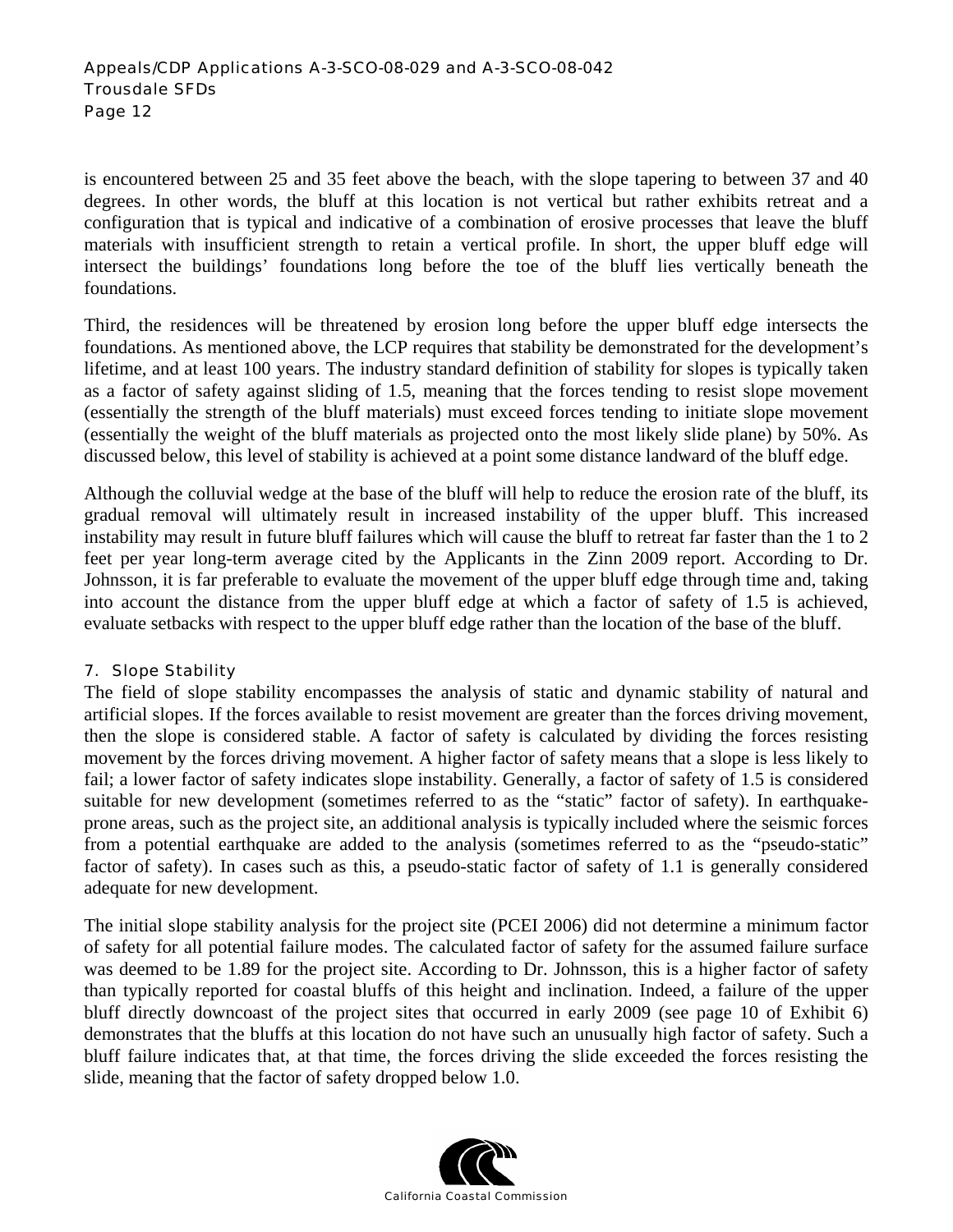#### Appeals/CDP Applications A-3-SCO-08-029 and A-3-SCO-08-042 Trousdale SFDs Page 12

is encountered between 25 and 35 feet above the beach, with the slope tapering to between 37 and 40 degrees. In other words, the bluff at this location is not vertical but rather exhibits retreat and a configuration that is typical and indicative of a combination of erosive processes that leave the bluff materials with insufficient strength to retain a vertical profile. In short, the upper bluff edge will intersect the buildings' foundations long before the toe of the bluff lies vertically beneath the foundations.

Third, the residences will be threatened by erosion long before the upper bluff edge intersects the foundations. As mentioned above, the LCP requires that stability be demonstrated for the development's lifetime, and at least 100 years. The industry standard definition of stability for slopes is typically taken as a factor of safety against sliding of 1.5, meaning that the forces tending to resist slope movement (essentially the strength of the bluff materials) must exceed forces tending to initiate slope movement (essentially the weight of the bluff materials as projected onto the most likely slide plane) by 50%. As discussed below, this level of stability is achieved at a point some distance landward of the bluff edge.

Although the colluvial wedge at the base of the bluff will help to reduce the erosion rate of the bluff, its gradual removal will ultimately result in increased instability of the upper bluff. This increased instability may result in future bluff failures which will cause the bluff to retreat far faster than the 1 to 2 feet per year long-term average cited by the Applicants in the Zinn 2009 report. According to Dr. Johnsson, it is far preferable to evaluate the movement of the upper bluff edge through time and, taking into account the distance from the upper bluff edge at which a factor of safety of 1.5 is achieved, evaluate setbacks with respect to the upper bluff edge rather than the location of the base of the bluff.

#### 7. Slope Stability

The field of slope stability encompasses the analysis of static and dynamic stability of natural and artificial slopes. If the forces available to resist movement are greater than the forces driving movement, then the slope is considered stable. A factor of safety is calculated by dividing the forces resisting movement by the forces driving movement. A higher factor of safety means that a slope is less likely to fail; a lower factor of safety indicates slope instability. Generally, a factor of safety of 1.5 is considered suitable for new development (sometimes referred to as the "static" factor of safety). In earthquakeprone areas, such as the project site, an additional analysis is typically included where the seismic forces from a potential earthquake are added to the analysis (sometimes referred to as the "pseudo-static" factor of safety). In cases such as this, a pseudo-static factor of safety of 1.1 is generally considered adequate for new development.

The initial slope stability analysis for the project site (PCEI 2006) did not determine a minimum factor of safety for all potential failure modes. The calculated factor of safety for the assumed failure surface was deemed to be 1.89 for the project site. According to Dr. Johnsson, this is a higher factor of safety than typically reported for coastal bluffs of this height and inclination. Indeed, a failure of the upper bluff directly downcoast of the project sites that occurred in early 2009 (see page 10 of Exhibit 6) demonstrates that the bluffs at this location do not have such an unusually high factor of safety. Such a bluff failure indicates that, at that time, the forces driving the slide exceeded the forces resisting the slide, meaning that the factor of safety dropped below 1.0.

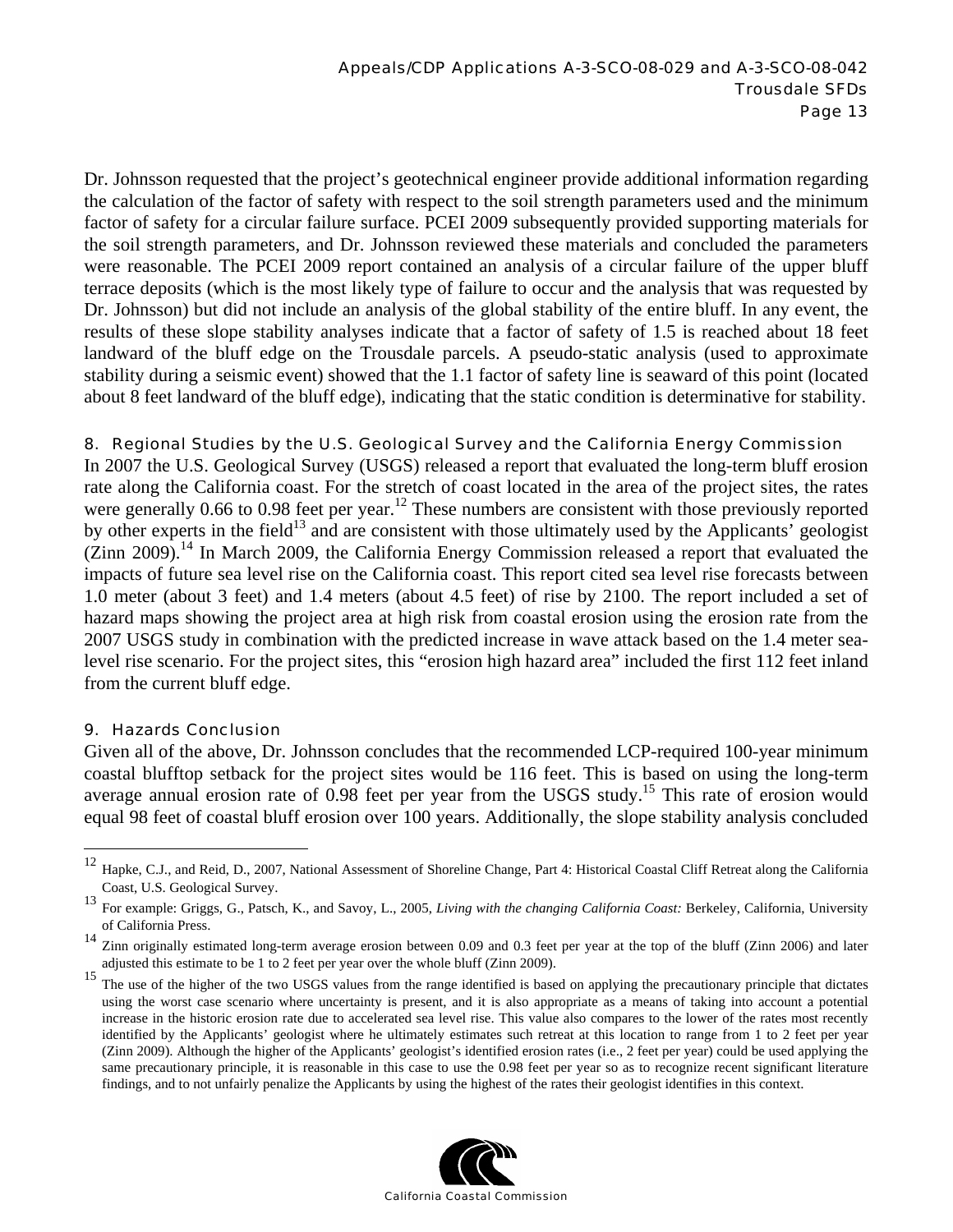Dr. Johnsson requested that the project's geotechnical engineer provide additional information regarding the calculation of the factor of safety with respect to the soil strength parameters used and the minimum factor of safety for a circular failure surface. PCEI 2009 subsequently provided supporting materials for the soil strength parameters, and Dr. Johnsson reviewed these materials and concluded the parameters were reasonable. The PCEI 2009 report contained an analysis of a circular failure of the upper bluff terrace deposits (which is the most likely type of failure to occur and the analysis that was requested by Dr. Johnsson) but did not include an analysis of the global stability of the entire bluff. In any event, the results of these slope stability analyses indicate that a factor of safety of 1.5 is reached about 18 feet landward of the bluff edge on the Trousdale parcels. A pseudo-static analysis (used to approximate stability during a seismic event) showed that the 1.1 factor of safety line is seaward of this point (located about 8 feet landward of the bluff edge), indicating that the static condition is determinative for stability.

#### 8. Regional Studies by the U.S. Geological Survey and the California Energy Commission

In 2007 the U.S. Geological Survey (USGS) released a report that evaluated the long-term bluff erosion rate along the California coast. For the stretch of coast located in the area of the project sites, the rates were generally 0.66 to 0.98 feet per year.<sup>12</sup> These numbers are consistent with those previously reported by other experts in the field<sup>13</sup> and are consistent with those ultimately used by the Applicants' geologist  $(Zinn 2009)$ <sup>14</sup>. In March 2009, the California Energy Commission released a report that evaluated the impacts of future sea level rise on the California coast. This report cited sea level rise forecasts between 1.0 meter (about 3 feet) and 1.4 meters (about 4.5 feet) of rise by 2100. The report included a set of hazard maps showing the project area at high risk from coastal erosion using the erosion rate from the 2007 USGS study in combination with the predicted increase in wave attack based on the 1.4 meter sealevel rise scenario. For the project sites, this "erosion high hazard area" included the first 112 feet inland from the current bluff edge.

#### 9. Hazards Conclusion

 $\overline{a}$ 

Given all of the above, Dr. Johnsson concludes that the recommended LCP-required 100-year minimum coastal blufftop setback for the project sites would be 116 feet. This is based on using the long-term average annual erosion rate of 0.98 feet per year from the USGS study.<sup>15</sup> This rate of erosion would equal 98 feet of coastal bluff erosion over 100 years. Additionally, the slope stability analysis concluded

<sup>&</sup>lt;sup>15</sup> The use of the higher of the two USGS values from the range identified is based on applying the precautionary principle that dictates using the worst case scenario where uncertainty is present, and it is also appropriate as a means of taking into account a potential increase in the historic erosion rate due to accelerated sea level rise. This value also compares to the lower of the rates most recently identified by the Applicants' geologist where he ultimately estimates such retreat at this location to range from 1 to 2 feet per year (Zinn 2009). Although the higher of the Applicants' geologist's identified erosion rates (i.e., 2 feet per year) could be used applying the same precautionary principle, it is reasonable in this case to use the 0.98 feet per year so as to recognize recent significant literature findings, and to not unfairly penalize the Applicants by using the highest of the rates their geologist identifies in this context.



<sup>12</sup> Hapke, C.J., and Reid, D., 2007, National Assessment of Shoreline Change, Part 4: Historical Coastal Cliff Retreat along the California Coast, U.S. Geological Survey.

<sup>13</sup> For example: Griggs, G., Patsch, K., and Savoy, L., 2005, *Living with the changing California Coast:* Berkeley, California, University of California Press.

<sup>&</sup>lt;sup>14</sup> Zinn originally estimated long-term average erosion between 0.09 and 0.3 feet per year at the top of the bluff (Zinn 2006) and later adjusted this estimate to be 1 to 2 feet per year over the whole bluff (Zinn 2009).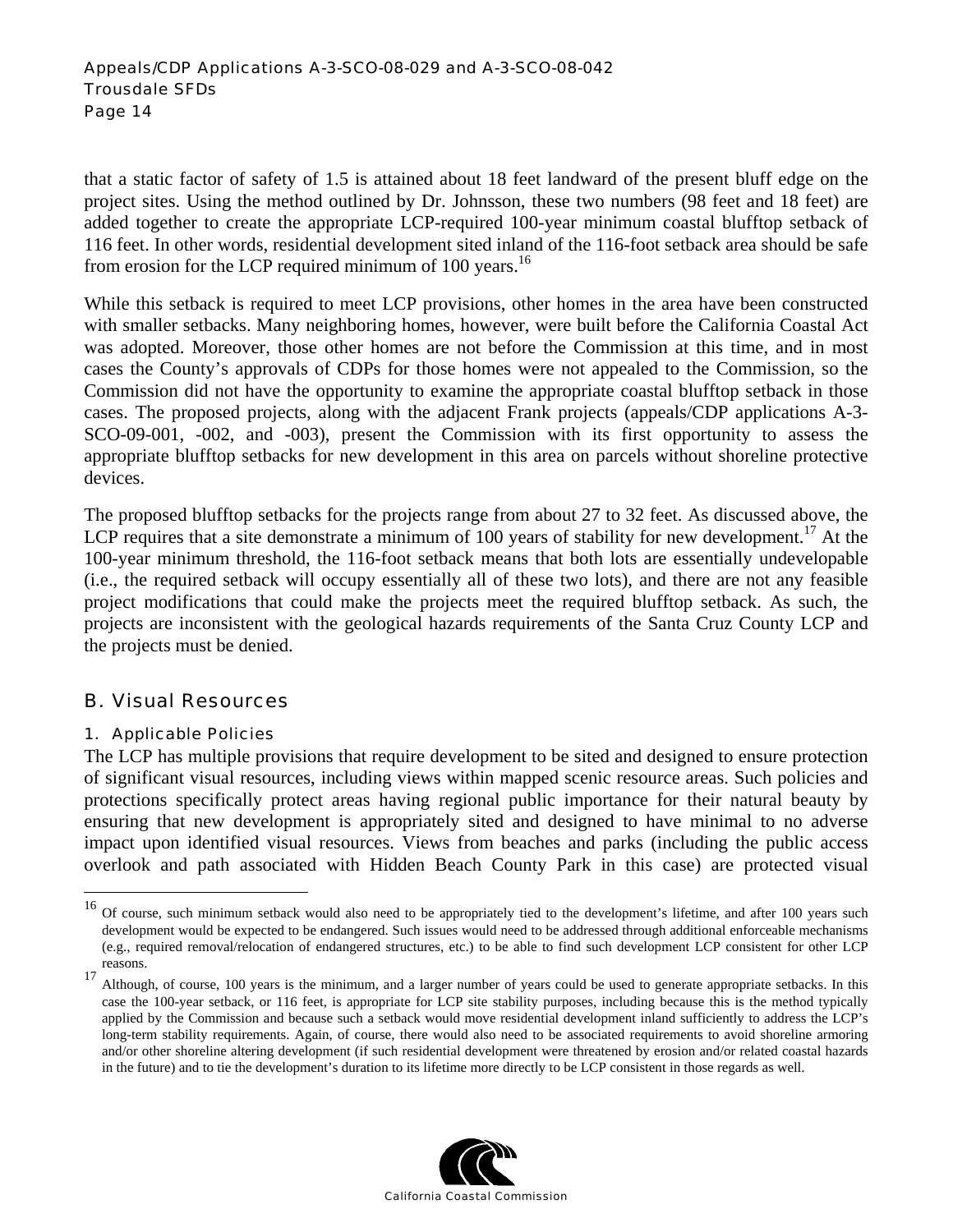#### Appeals/CDP Applications A-3-SCO-08-029 and A-3-SCO-08-042 Trousdale SFDs Page 14

that a static factor of safety of 1.5 is attained about 18 feet landward of the present bluff edge on the project sites. Using the method outlined by Dr. Johnsson, these two numbers (98 feet and 18 feet) are added together to create the appropriate LCP-required 100-year minimum coastal blufftop setback of 116 feet. In other words, residential development sited inland of the 116-foot setback area should be safe from erosion for the LCP required minimum of 100 years.<sup>16</sup>

While this setback is required to meet LCP provisions, other homes in the area have been constructed with smaller setbacks. Many neighboring homes, however, were built before the California Coastal Act was adopted. Moreover, those other homes are not before the Commission at this time, and in most cases the County's approvals of CDPs for those homes were not appealed to the Commission, so the Commission did not have the opportunity to examine the appropriate coastal blufftop setback in those cases. The proposed projects, along with the adjacent Frank projects (appeals/CDP applications A-3- SCO-09-001, -002, and -003), present the Commission with its first opportunity to assess the appropriate blufftop setbacks for new development in this area on parcels without shoreline protective devices.

The proposed blufftop setbacks for the projects range from about 27 to 32 feet. As discussed above, the LCP requires that a site demonstrate a minimum of 100 years of stability for new development.<sup>17</sup> At the 100-year minimum threshold, the 116-foot setback means that both lots are essentially undevelopable (i.e., the required setback will occupy essentially all of these two lots), and there are not any feasible project modifications that could make the projects meet the required blufftop setback. As such, the projects are inconsistent with the geological hazards requirements of the Santa Cruz County LCP and the projects must be denied.

## B. Visual Resources

## 1. Applicable Policies

 $\overline{a}$ 

The LCP has multiple provisions that require development to be sited and designed to ensure protection of significant visual resources, including views within mapped scenic resource areas. Such policies and protections specifically protect areas having regional public importance for their natural beauty by ensuring that new development is appropriately sited and designed to have minimal to no adverse impact upon identified visual resources. Views from beaches and parks (including the public access overlook and path associated with Hidden Beach County Park in this case) are protected visual



<sup>&</sup>lt;sup>16</sup> Of course, such minimum setback would also need to be appropriately tied to the development's lifetime, and after 100 years such development would be expected to be endangered. Such issues would need to be addressed through additional enforceable mechanisms (e.g., required removal/relocation of endangered structures, etc.) to be able to find such development LCP consistent for other LCP reasons.<br><sup>17</sup> Although, of course, 100 years is the minimum, and a larger number of years could be used to generate appropriate setbacks. In this

case the 100-year setback, or 116 feet, is appropriate for LCP site stability purposes, including because this is the method typically applied by the Commission and because such a setback would move residential development inland sufficiently to address the LCP's long-term stability requirements. Again, of course, there would also need to be associated requirements to avoid shoreline armoring and/or other shoreline altering development (if such residential development were threatened by erosion and/or related coastal hazards in the future) and to tie the development's duration to its lifetime more directly to be LCP consistent in those regards as well.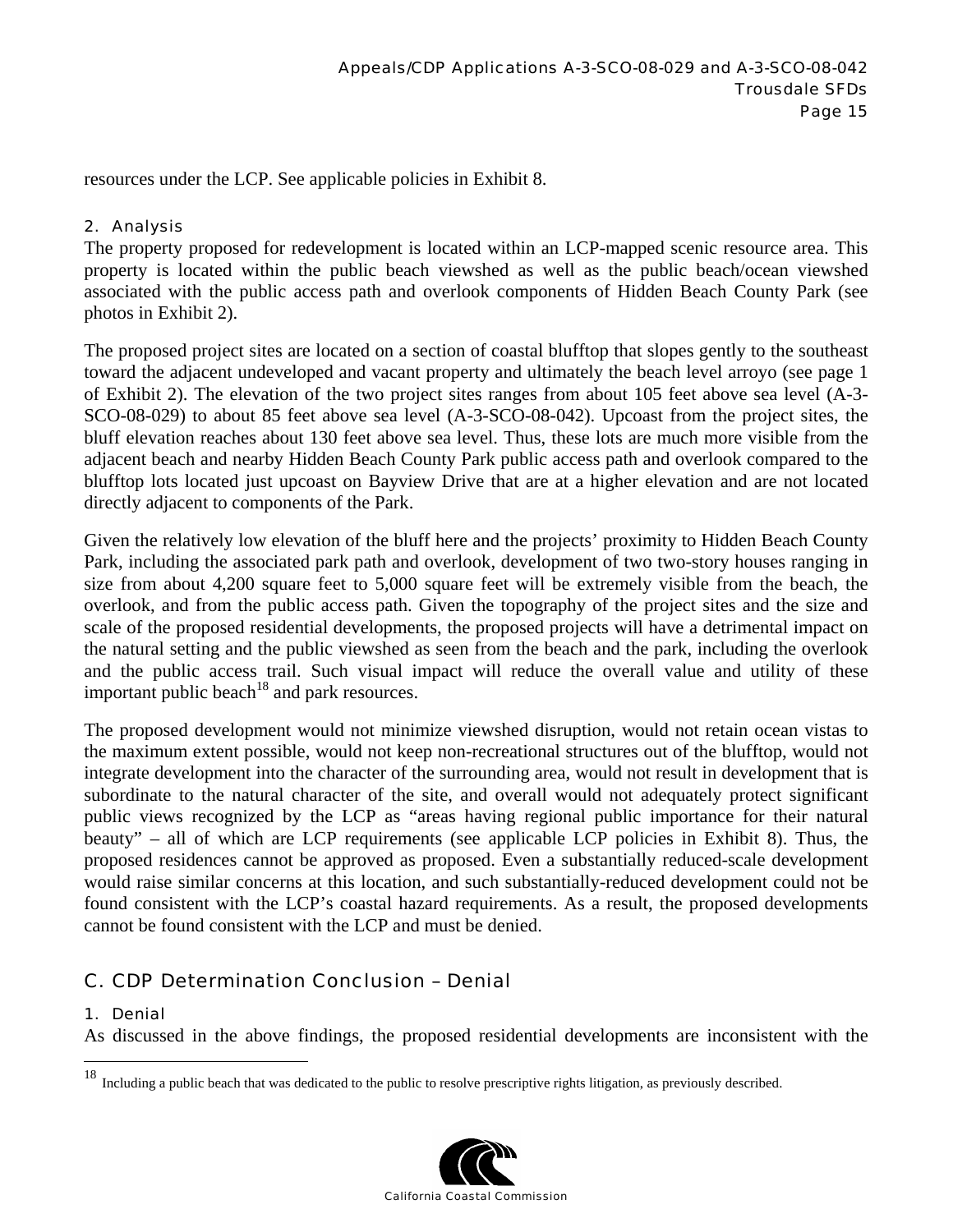resources under the LCP. See applicable policies in Exhibit 8.

## 2. Analysis

The property proposed for redevelopment is located within an LCP-mapped scenic resource area. This property is located within the public beach viewshed as well as the public beach/ocean viewshed associated with the public access path and overlook components of Hidden Beach County Park (see photos in Exhibit 2).

The proposed project sites are located on a section of coastal blufftop that slopes gently to the southeast toward the adjacent undeveloped and vacant property and ultimately the beach level arroyo (see page 1 of Exhibit 2). The elevation of the two project sites ranges from about 105 feet above sea level (A-3- SCO-08-029) to about 85 feet above sea level (A-3-SCO-08-042). Upcoast from the project sites, the bluff elevation reaches about 130 feet above sea level. Thus, these lots are much more visible from the adjacent beach and nearby Hidden Beach County Park public access path and overlook compared to the blufftop lots located just upcoast on Bayview Drive that are at a higher elevation and are not located directly adjacent to components of the Park.

Given the relatively low elevation of the bluff here and the projects' proximity to Hidden Beach County Park, including the associated park path and overlook, development of two two-story houses ranging in size from about 4,200 square feet to 5,000 square feet will be extremely visible from the beach, the overlook, and from the public access path. Given the topography of the project sites and the size and scale of the proposed residential developments, the proposed projects will have a detrimental impact on the natural setting and the public viewshed as seen from the beach and the park, including the overlook and the public access trail. Such visual impact will reduce the overall value and utility of these important public beach<sup>18</sup> and park resources.

The proposed development would not minimize viewshed disruption, would not retain ocean vistas to the maximum extent possible, would not keep non-recreational structures out of the blufftop, would not integrate development into the character of the surrounding area, would not result in development that is subordinate to the natural character of the site, and overall would not adequately protect significant public views recognized by the LCP as "areas having regional public importance for their natural beauty" – all of which are LCP requirements (see applicable LCP policies in Exhibit 8). Thus, the proposed residences cannot be approved as proposed. Even a substantially reduced-scale development would raise similar concerns at this location, and such substantially-reduced development could not be found consistent with the LCP's coastal hazard requirements. As a result, the proposed developments cannot be found consistent with the LCP and must be denied.

## C. CDP Determination Conclusion – Denial

#### 1. Denial

 $\overline{a}$ 

As discussed in the above findings, the proposed residential developments are inconsistent with the

<sup>&</sup>lt;sup>18</sup> Including a public beach that was dedicated to the public to resolve prescriptive rights litigation, as previously described.

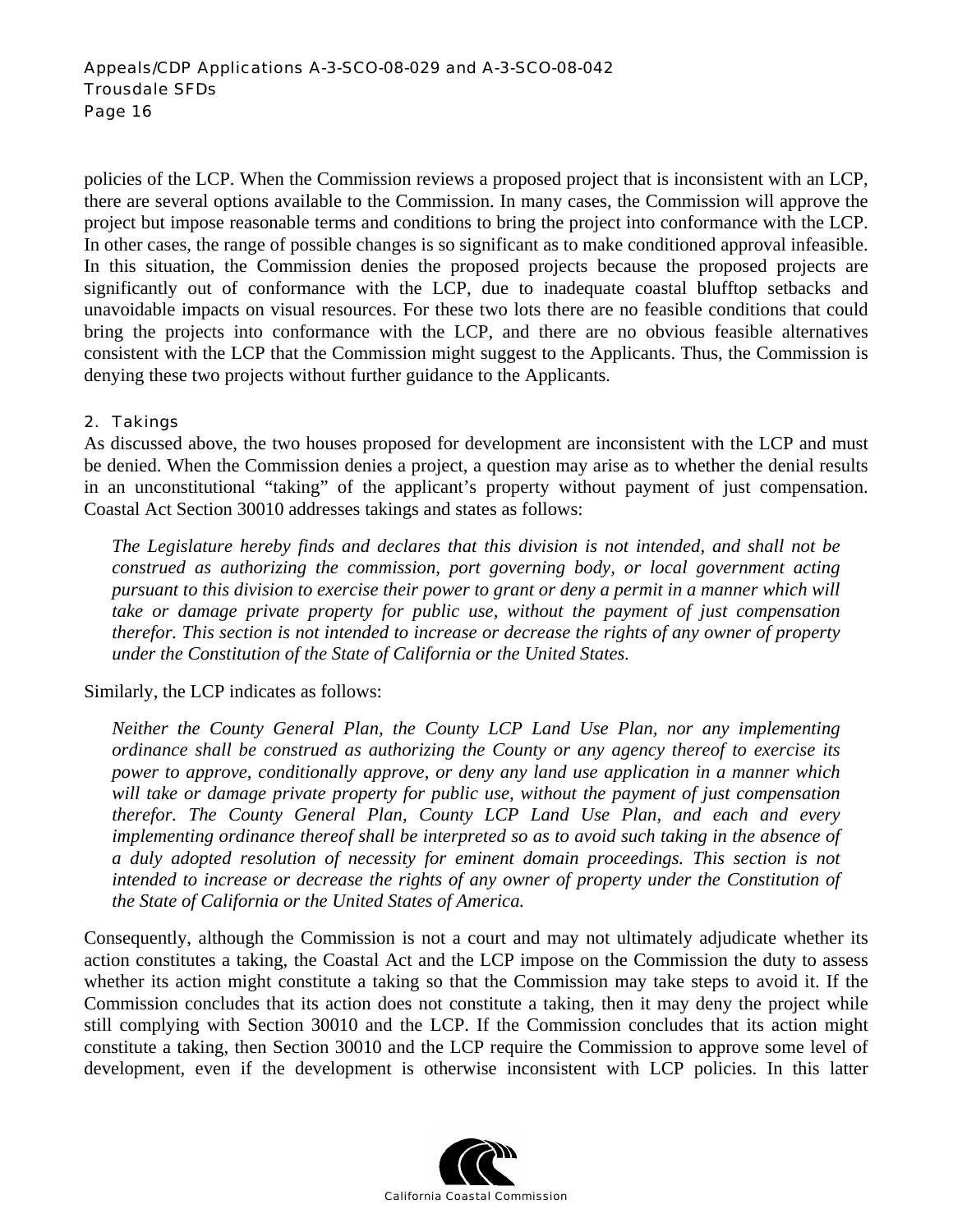policies of the LCP. When the Commission reviews a proposed project that is inconsistent with an LCP, there are several options available to the Commission. In many cases, the Commission will approve the project but impose reasonable terms and conditions to bring the project into conformance with the LCP. In other cases, the range of possible changes is so significant as to make conditioned approval infeasible. In this situation, the Commission denies the proposed projects because the proposed projects are significantly out of conformance with the LCP, due to inadequate coastal blufftop setbacks and unavoidable impacts on visual resources. For these two lots there are no feasible conditions that could bring the projects into conformance with the LCP, and there are no obvious feasible alternatives consistent with the LCP that the Commission might suggest to the Applicants. Thus, the Commission is denying these two projects without further guidance to the Applicants.

#### 2. Takings

As discussed above, the two houses proposed for development are inconsistent with the LCP and must be denied. When the Commission denies a project, a question may arise as to whether the denial results in an unconstitutional "taking" of the applicant's property without payment of just compensation. Coastal Act Section 30010 addresses takings and states as follows:

*The Legislature hereby finds and declares that this division is not intended, and shall not be construed as authorizing the commission, port governing body, or local government acting pursuant to this division to exercise their power to grant or deny a permit in a manner which will take or damage private property for public use, without the payment of just compensation therefor. This section is not intended to increase or decrease the rights of any owner of property under the Constitution of the State of California or the United States.* 

Similarly, the LCP indicates as follows:

*Neither the County General Plan, the County LCP Land Use Plan, nor any implementing ordinance shall be construed as authorizing the County or any agency thereof to exercise its power to approve, conditionally approve, or deny any land use application in a manner which will take or damage private property for public use, without the payment of just compensation therefor. The County General Plan, County LCP Land Use Plan, and each and every implementing ordinance thereof shall be interpreted so as to avoid such taking in the absence of a duly adopted resolution of necessity for eminent domain proceedings. This section is not intended to increase or decrease the rights of any owner of property under the Constitution of the State of California or the United States of America.* 

Consequently, although the Commission is not a court and may not ultimately adjudicate whether its action constitutes a taking, the Coastal Act and the LCP impose on the Commission the duty to assess whether its action might constitute a taking so that the Commission may take steps to avoid it. If the Commission concludes that its action does not constitute a taking, then it may deny the project while still complying with Section 30010 and the LCP. If the Commission concludes that its action might constitute a taking, then Section 30010 and the LCP require the Commission to approve some level of development, even if the development is otherwise inconsistent with LCP policies. In this latter

![](_page_15_Picture_8.jpeg)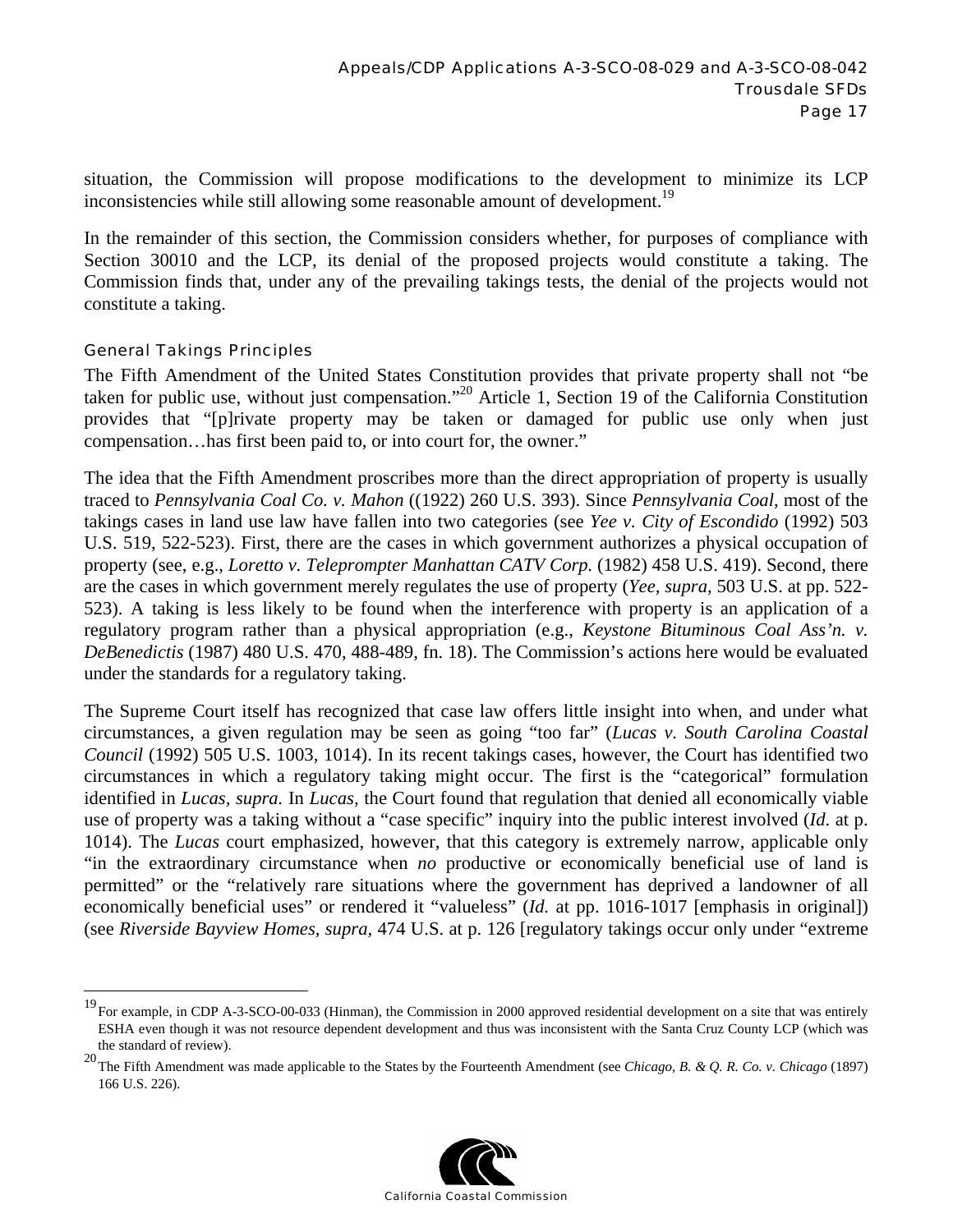situation, the Commission will propose modifications to the development to minimize its LCP inconsistencies while still allowing some reasonable amount of development.<sup>19</sup>

In the remainder of this section, the Commission considers whether, for purposes of compliance with Section 30010 and the LCP, its denial of the proposed projects would constitute a taking. The Commission finds that, under any of the prevailing takings tests, the denial of the projects would not constitute a taking.

#### General Takings Principles

 $\overline{a}$ 

The Fifth Amendment of the United States Constitution provides that private property shall not "be taken for public use, without just compensation."20 Article 1, Section 19 of the California Constitution provides that "[p]rivate property may be taken or damaged for public use only when just compensation…has first been paid to, or into court for, the owner."

The idea that the Fifth Amendment proscribes more than the direct appropriation of property is usually traced to *Pennsylvania Coal Co. v. Mahon* ((1922) 260 U.S. 393). Since *Pennsylvania Coal*, most of the takings cases in land use law have fallen into two categories (see *Yee v. City of Escondido* (1992) 503 U.S. 519, 522-523). First, there are the cases in which government authorizes a physical occupation of property (see, e.g., *Loretto v. Teleprompter Manhattan CATV Corp.* (1982) 458 U.S. 419). Second, there are the cases in which government merely regulates the use of property (*Yee, supra,* 503 U.S. at pp. 522- 523). A taking is less likely to be found when the interference with property is an application of a regulatory program rather than a physical appropriation (e.g., *Keystone Bituminous Coal Ass'n. v. DeBenedictis* (1987) 480 U.S. 470, 488-489, fn. 18). The Commission's actions here would be evaluated under the standards for a regulatory taking.

The Supreme Court itself has recognized that case law offers little insight into when, and under what circumstances, a given regulation may be seen as going "too far" (*Lucas v. South Carolina Coastal Council* (1992) 505 U.S. 1003, 1014). In its recent takings cases, however, the Court has identified two circumstances in which a regulatory taking might occur. The first is the "categorical" formulation identified in *Lucas, supra.* In *Lucas,* the Court found that regulation that denied all economically viable use of property was a taking without a "case specific" inquiry into the public interest involved (*Id*. at p. 1014). The *Lucas* court emphasized, however, that this category is extremely narrow, applicable only "in the extraordinary circumstance when *no* productive or economically beneficial use of land is permitted" or the "relatively rare situations where the government has deprived a landowner of all economically beneficial uses" or rendered it "valueless" (*Id.* at pp. 1016-1017 [emphasis in original]) (see *Riverside Bayview Homes, supra,* 474 U.S. at p. 126 [regulatory takings occur only under "extreme

<sup>20</sup> The Fifth Amendment was made applicable to the States by the Fourteenth Amendment (see *Chicago, B. & Q. R. Co. v. Chicago* (1897) 166 U.S. 226).

![](_page_16_Picture_9.jpeg)

<sup>19</sup> For example, in CDP A-3-SCO-00-033 (Hinman), the Commission in 2000 approved residential development on a site that was entirely ESHA even though it was not resource dependent development and thus was inconsistent with the Santa Cruz County LCP (which was the standard of review).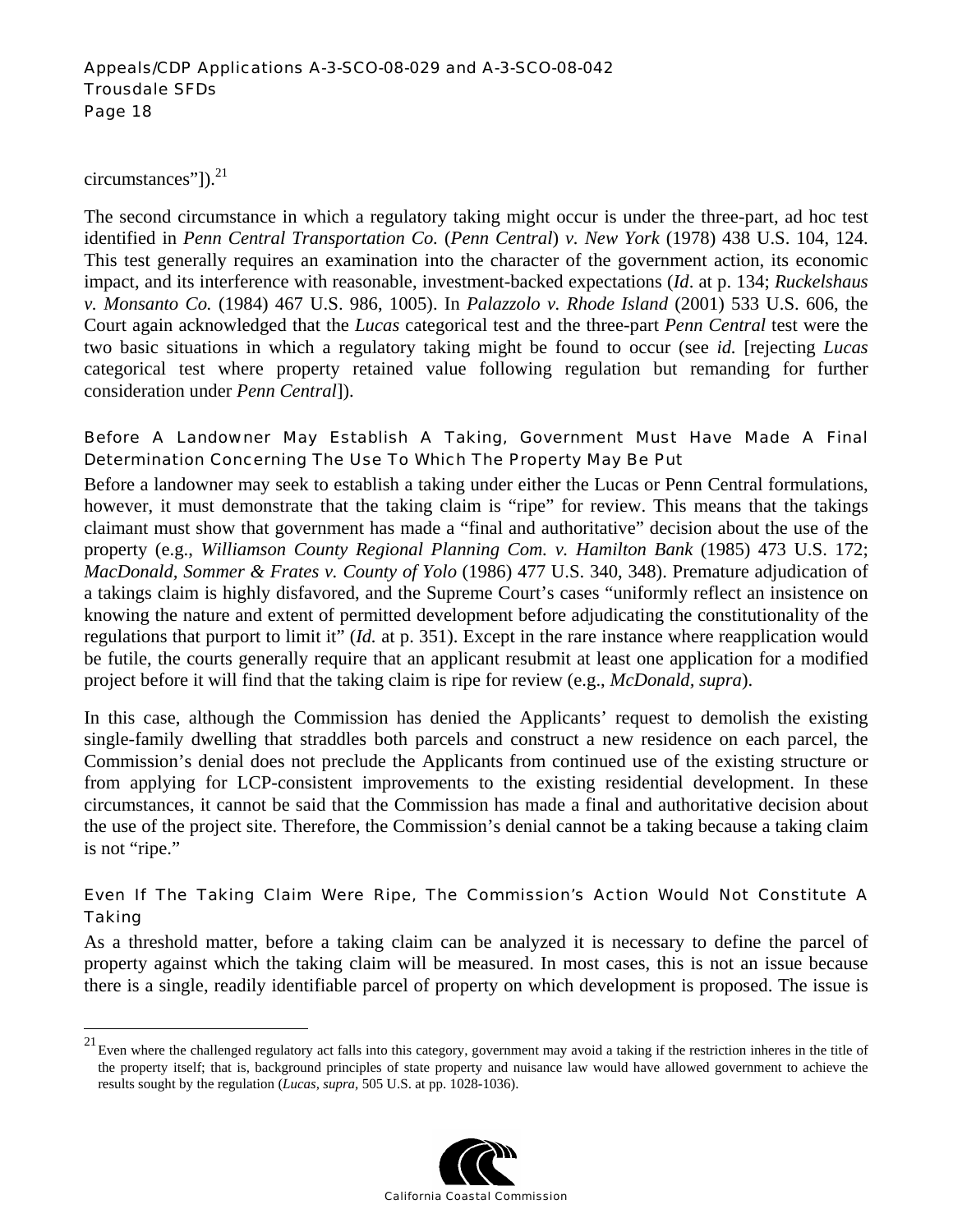circumstances"]). $^{21}$ 

 $\overline{a}$ 

The second circumstance in which a regulatory taking might occur is under the three-part, ad hoc test identified in *Penn Central Transportation Co.* (*Penn Central*) *v. New York* (1978) 438 U.S. 104, 124. This test generally requires an examination into the character of the government action, its economic impact, and its interference with reasonable, investment-backed expectations (*Id*. at p. 134; *Ruckelshaus v. Monsanto Co.* (1984) 467 U.S. 986, 1005). In *Palazzolo v. Rhode Island* (2001) 533 U.S. 606, the Court again acknowledged that the *Lucas* categorical test and the three-part *Penn Central* test were the two basic situations in which a regulatory taking might be found to occur (see *id.* [rejecting *Lucas*  categorical test where property retained value following regulation but remanding for further consideration under *Penn Central*]).

## Before A Landowner May Establish A Taking, Government Must Have Made A Final Determination Concerning The Use To Which The Property May Be Put

Before a landowner may seek to establish a taking under either the Lucas or Penn Central formulations, however, it must demonstrate that the taking claim is "ripe" for review. This means that the takings claimant must show that government has made a "final and authoritative" decision about the use of the property (e.g., *Williamson County Regional Planning Com. v. Hamilton Bank* (1985) 473 U.S. 172; *MacDonald, Sommer & Frates v. County of Yolo* (1986) 477 U.S. 340, 348). Premature adjudication of a takings claim is highly disfavored, and the Supreme Court's cases "uniformly reflect an insistence on knowing the nature and extent of permitted development before adjudicating the constitutionality of the regulations that purport to limit it" (*Id.* at p. 351). Except in the rare instance where reapplication would be futile, the courts generally require that an applicant resubmit at least one application for a modified project before it will find that the taking claim is ripe for review (e.g., *McDonald, supra*).

In this case, although the Commission has denied the Applicants' request to demolish the existing single-family dwelling that straddles both parcels and construct a new residence on each parcel, the Commission's denial does not preclude the Applicants from continued use of the existing structure or from applying for LCP-consistent improvements to the existing residential development. In these circumstances, it cannot be said that the Commission has made a final and authoritative decision about the use of the project site. Therefore, the Commission's denial cannot be a taking because a taking claim is not "ripe."

## Even If The Taking Claim Were Ripe, The Commission's Action Would Not Constitute A Taking

As a threshold matter, before a taking claim can be analyzed it is necessary to define the parcel of property against which the taking claim will be measured. In most cases, this is not an issue because there is a single, readily identifiable parcel of property on which development is proposed. The issue is

 $^{21}$  Even where the challenged regulatory act falls into this category, government may avoid a taking if the restriction inheres in the title of the property itself; that is, background principles of state property and nuisance law would have allowed government to achieve the results sought by the regulation (*Lucas, supra,* 505 U.S. at pp. 1028-1036).

![](_page_17_Picture_9.jpeg)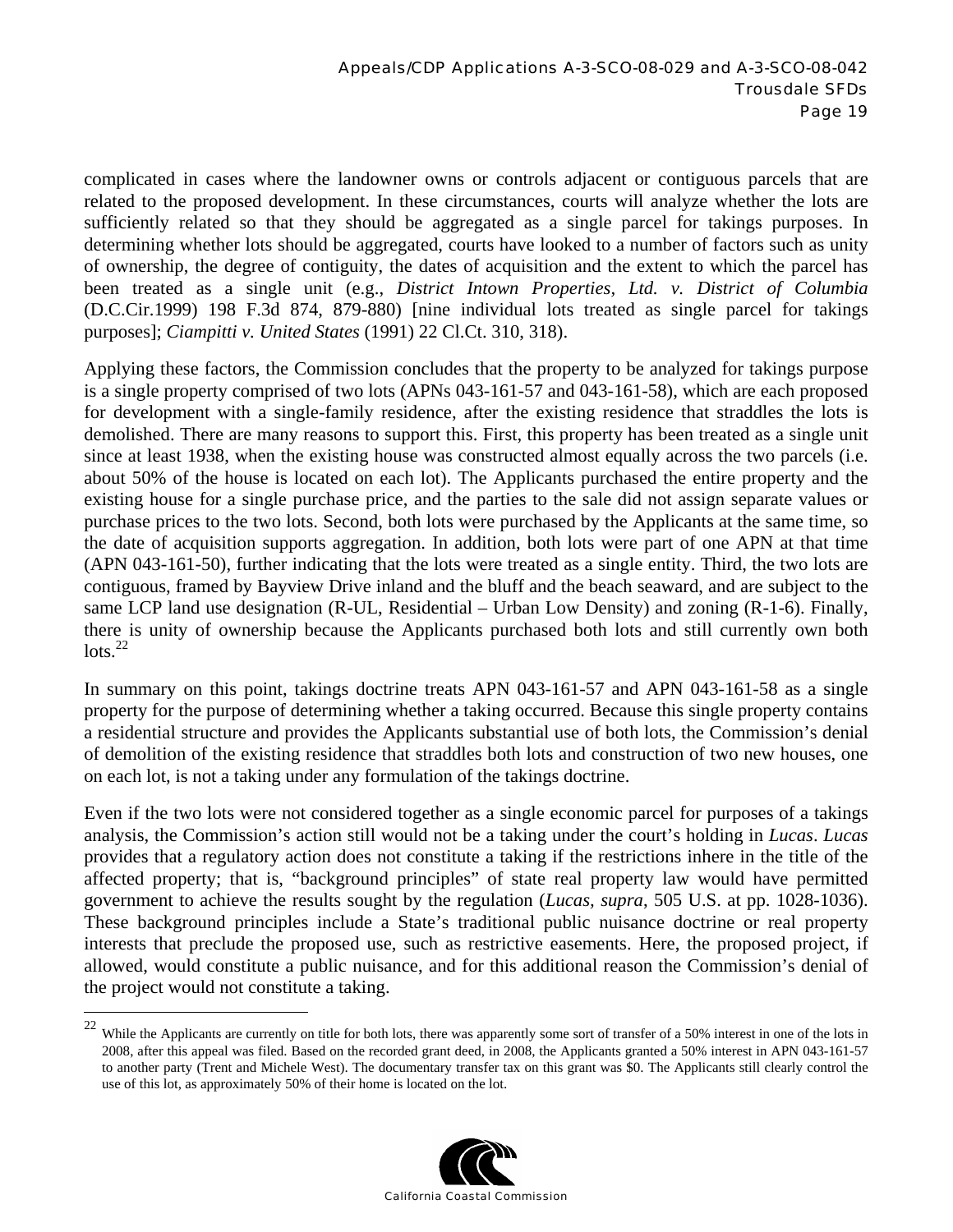complicated in cases where the landowner owns or controls adjacent or contiguous parcels that are related to the proposed development. In these circumstances, courts will analyze whether the lots are sufficiently related so that they should be aggregated as a single parcel for takings purposes. In determining whether lots should be aggregated, courts have looked to a number of factors such as unity of ownership, the degree of contiguity, the dates of acquisition and the extent to which the parcel has been treated as a single unit (e.g., *District Intown Properties, Ltd. v. District of Columbia* (D.C.Cir.1999) 198 F.3d 874, 879-880) [nine individual lots treated as single parcel for takings purposes]; *Ciampitti v. United States* (1991) 22 Cl.Ct. 310, 318).

Applying these factors, the Commission concludes that the property to be analyzed for takings purpose is a single property comprised of two lots (APNs 043-161-57 and 043-161-58), which are each proposed for development with a single-family residence, after the existing residence that straddles the lots is demolished. There are many reasons to support this. First, this property has been treated as a single unit since at least 1938, when the existing house was constructed almost equally across the two parcels (i.e. about 50% of the house is located on each lot). The Applicants purchased the entire property and the existing house for a single purchase price, and the parties to the sale did not assign separate values or purchase prices to the two lots. Second, both lots were purchased by the Applicants at the same time, so the date of acquisition supports aggregation. In addition, both lots were part of one APN at that time (APN 043-161-50), further indicating that the lots were treated as a single entity. Third, the two lots are contiguous, framed by Bayview Drive inland and the bluff and the beach seaward, and are subject to the same LCP land use designation (R-UL, Residential – Urban Low Density) and zoning (R-1-6). Finally, there is unity of ownership because the Applicants purchased both lots and still currently own both  $\frac{1}{2}$ 

In summary on this point, takings doctrine treats APN 043-161-57 and APN 043-161-58 as a single property for the purpose of determining whether a taking occurred. Because this single property contains a residential structure and provides the Applicants substantial use of both lots, the Commission's denial of demolition of the existing residence that straddles both lots and construction of two new houses, one on each lot, is not a taking under any formulation of the takings doctrine.

Even if the two lots were not considered together as a single economic parcel for purposes of a takings analysis, the Commission's action still would not be a taking under the court's holding in *Lucas*. *Lucas* provides that a regulatory action does not constitute a taking if the restrictions inhere in the title of the affected property; that is, "background principles" of state real property law would have permitted government to achieve the results sought by the regulation (*Lucas, supra*, 505 U.S. at pp. 1028-1036). These background principles include a State's traditional public nuisance doctrine or real property interests that preclude the proposed use, such as restrictive easements. Here, the proposed project, if allowed, would constitute a public nuisance, and for this additional reason the Commission's denial of the project would not constitute a taking.

 $\overline{a}$ 

![](_page_18_Picture_6.jpeg)

 $22$  While the Applicants are currently on title for both lots, there was apparently some sort of transfer of a 50% interest in one of the lots in 2008, after this appeal was filed. Based on the recorded grant deed, in 2008, the Applicants granted a 50% interest in APN 043-161-57 to another party (Trent and Michele West). The documentary transfer tax on this grant was \$0. The Applicants still clearly control the use of this lot, as approximately 50% of their home is located on the lot.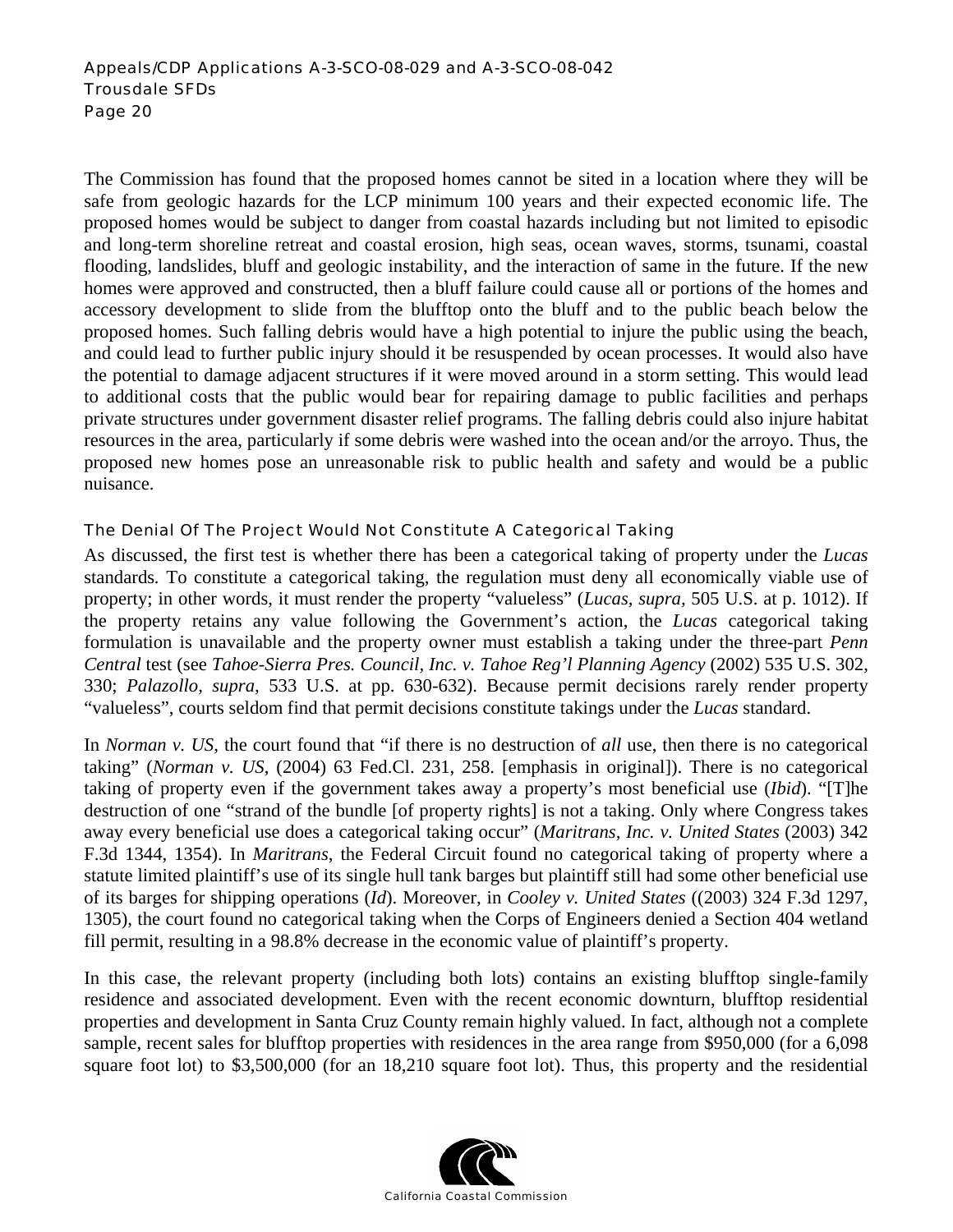The Commission has found that the proposed homes cannot be sited in a location where they will be safe from geologic hazards for the LCP minimum 100 years and their expected economic life. The proposed homes would be subject to danger from coastal hazards including but not limited to episodic and long-term shoreline retreat and coastal erosion, high seas, ocean waves, storms, tsunami, coastal flooding, landslides, bluff and geologic instability, and the interaction of same in the future. If the new homes were approved and constructed, then a bluff failure could cause all or portions of the homes and accessory development to slide from the blufftop onto the bluff and to the public beach below the proposed homes. Such falling debris would have a high potential to injure the public using the beach, and could lead to further public injury should it be resuspended by ocean processes. It would also have the potential to damage adjacent structures if it were moved around in a storm setting. This would lead to additional costs that the public would bear for repairing damage to public facilities and perhaps private structures under government disaster relief programs. The falling debris could also injure habitat resources in the area, particularly if some debris were washed into the ocean and/or the arroyo. Thus, the proposed new homes pose an unreasonable risk to public health and safety and would be a public nuisance.

## The Denial Of The Project Would Not Constitute A Categorical Taking

As discussed, the first test is whether there has been a categorical taking of property under the *Lucas*  standards*.* To constitute a categorical taking, the regulation must deny all economically viable use of property; in other words, it must render the property "valueless" (*Lucas, supra,* 505 U.S. at p. 1012). If the property retains any value following the Government's action, the *Lucas* categorical taking formulation is unavailable and the property owner must establish a taking under the three-part *Penn Central* test (see *Tahoe-Sierra Pres. Council, Inc. v. Tahoe Reg'l Planning Agency* (2002) 535 U.S. 302, 330; *Palazollo, supra,* 533 U.S. at pp. 630-632). Because permit decisions rarely render property "valueless", courts seldom find that permit decisions constitute takings under the *Lucas* standard.

In *Norman v. US*, the court found that "if there is no destruction of *all* use, then there is no categorical taking" (*Norman v. US*, (2004) 63 Fed.Cl. 231, 258. [emphasis in original]). There is no categorical taking of property even if the government takes away a property's most beneficial use (*Ibid*). "[T]he destruction of one "strand of the bundle [of property rights] is not a taking. Only where Congress takes away every beneficial use does a categorical taking occur" (*Maritrans, Inc. v. United States* (2003) 342 F.3d 1344, 1354). In *Maritrans*, the Federal Circuit found no categorical taking of property where a statute limited plaintiff's use of its single hull tank barges but plaintiff still had some other beneficial use of its barges for shipping operations (*Id*). Moreover, in *Cooley v. United States* ((2003) 324 F.3d 1297, 1305), the court found no categorical taking when the Corps of Engineers denied a Section 404 wetland fill permit, resulting in a 98.8% decrease in the economic value of plaintiff's property.

In this case, the relevant property (including both lots) contains an existing blufftop single-family residence and associated development. Even with the recent economic downturn, blufftop residential properties and development in Santa Cruz County remain highly valued. In fact, although not a complete sample, recent sales for blufftop properties with residences in the area range from \$950,000 (for a 6,098 square foot lot) to \$3,500,000 (for an 18,210 square foot lot). Thus, this property and the residential

![](_page_19_Picture_6.jpeg)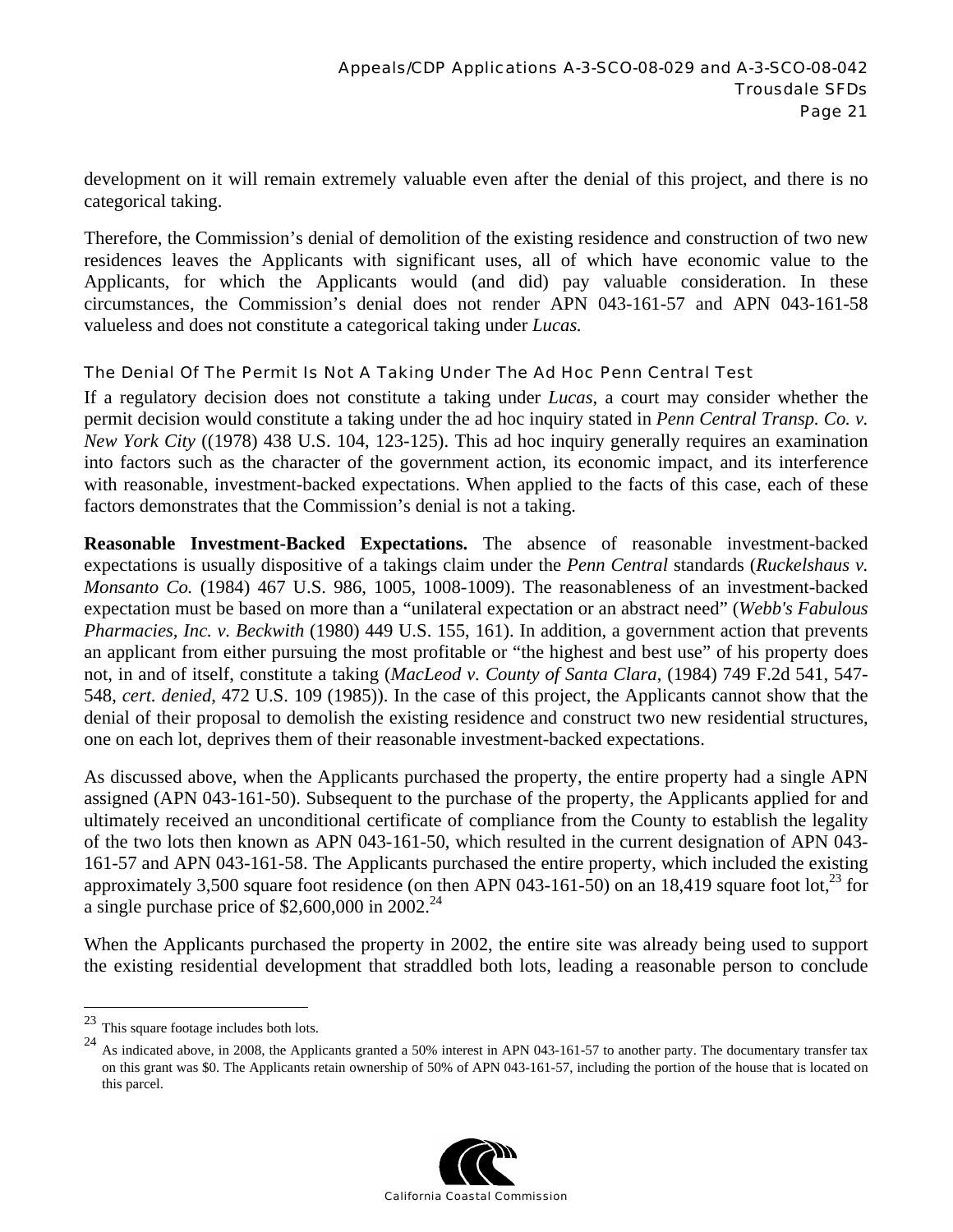development on it will remain extremely valuable even after the denial of this project, and there is no categorical taking.

Therefore, the Commission's denial of demolition of the existing residence and construction of two new residences leaves the Applicants with significant uses, all of which have economic value to the Applicants, for which the Applicants would (and did) pay valuable consideration. In these circumstances, the Commission's denial does not render APN 043-161-57 and APN 043-161-58 valueless and does not constitute a categorical taking under *Lucas.* 

## The Denial Of The Permit Is Not A Taking Under The Ad Hoc Penn Central Test

If a regulatory decision does not constitute a taking under *Lucas*, a court may consider whether the permit decision would constitute a taking under the ad hoc inquiry stated in *Penn Central Transp. Co. v. New York City* ((1978) 438 U.S. 104, 123-125). This ad hoc inquiry generally requires an examination into factors such as the character of the government action, its economic impact, and its interference with reasonable, investment-backed expectations. When applied to the facts of this case, each of these factors demonstrates that the Commission's denial is not a taking.

**Reasonable Investment-Backed Expectations.** The absence of reasonable investment-backed expectations is usually dispositive of a takings claim under the *Penn Central* standards (*Ruckelshaus v. Monsanto Co.* (1984) 467 U.S. 986, 1005, 1008-1009). The reasonableness of an investment-backed expectation must be based on more than a "unilateral expectation or an abstract need" (*Webb's Fabulous Pharmacies, Inc. v. Beckwith* (1980) 449 U.S. 155, 161). In addition, a government action that prevents an applicant from either pursuing the most profitable or "the highest and best use" of his property does not, in and of itself, constitute a taking (*MacLeod v. County of Santa Clara*, (1984) 749 F.2d 541, 547- 548, *cert. denied*, 472 U.S. 109 (1985)). In the case of this project, the Applicants cannot show that the denial of their proposal to demolish the existing residence and construct two new residential structures, one on each lot, deprives them of their reasonable investment-backed expectations.

As discussed above, when the Applicants purchased the property, the entire property had a single APN assigned (APN 043-161-50). Subsequent to the purchase of the property, the Applicants applied for and ultimately received an unconditional certificate of compliance from the County to establish the legality of the two lots then known as APN 043-161-50, which resulted in the current designation of APN 043- 161-57 and APN 043-161-58. The Applicants purchased the entire property, which included the existing approximately 3,500 square foot residence (on then APN 043-161-50) on an 18,419 square foot lot,<sup>23</sup> for a single purchase price of \$2,600,000 in 2002.<sup>24</sup>

When the Applicants purchased the property in 2002, the entire site was already being used to support the existing residential development that straddled both lots, leading a reasonable person to conclude

<sup>&</sup>lt;sup>24</sup> As indicated above, in 2008, the Applicants granted a 50% interest in APN 043-161-57 to another party. The documentary transfer tax on this grant was \$0. The Applicants retain ownership of 50% of APN 043-161-57, including the portion of the house that is located on this parcel.

![](_page_20_Picture_10.jpeg)

 $23\,$ This square footage includes both lots.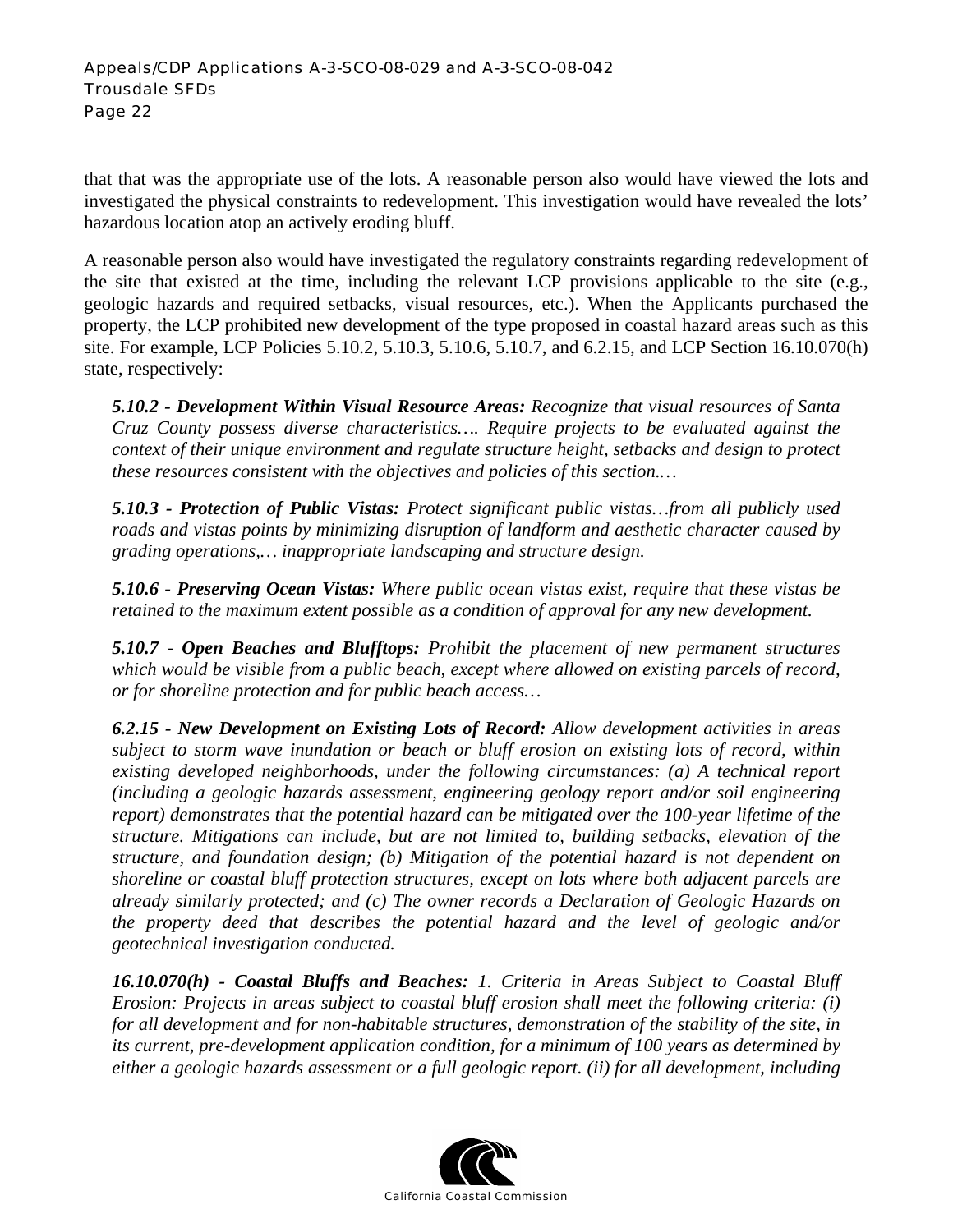that that was the appropriate use of the lots. A reasonable person also would have viewed the lots and investigated the physical constraints to redevelopment. This investigation would have revealed the lots' hazardous location atop an actively eroding bluff.

A reasonable person also would have investigated the regulatory constraints regarding redevelopment of the site that existed at the time, including the relevant LCP provisions applicable to the site (e.g., geologic hazards and required setbacks, visual resources, etc.). When the Applicants purchased the property, the LCP prohibited new development of the type proposed in coastal hazard areas such as this site. For example, LCP Policies 5.10.2, 5.10.3, 5.10.6, 5.10.7, and 6.2.15, and LCP Section 16.10.070(h) state, respectively:

*5.10.2 - Development Within Visual Resource Areas: Recognize that visual resources of Santa Cruz County possess diverse characteristics…. Require projects to be evaluated against the context of their unique environment and regulate structure height, setbacks and design to protect these resources consistent with the objectives and policies of this section.…* 

*5.10.3 - Protection of Public Vistas: Protect significant public vistas…from all publicly used roads and vistas points by minimizing disruption of landform and aesthetic character caused by grading operations,… inappropriate landscaping and structure design.* 

*5.10.6 - Preserving Ocean Vistas: Where public ocean vistas exist, require that these vistas be retained to the maximum extent possible as a condition of approval for any new development.* 

*5.10.7 - Open Beaches and Blufftops: Prohibit the placement of new permanent structures which would be visible from a public beach, except where allowed on existing parcels of record, or for shoreline protection and for public beach access…* 

*6.2.15 - New Development on Existing Lots of Record: Allow development activities in areas subject to storm wave inundation or beach or bluff erosion on existing lots of record, within existing developed neighborhoods, under the following circumstances: (a) A technical report (including a geologic hazards assessment, engineering geology report and/or soil engineering report) demonstrates that the potential hazard can be mitigated over the 100-year lifetime of the structure. Mitigations can include, but are not limited to, building setbacks, elevation of the structure, and foundation design; (b) Mitigation of the potential hazard is not dependent on shoreline or coastal bluff protection structures, except on lots where both adjacent parcels are already similarly protected; and (c) The owner records a Declaration of Geologic Hazards on the property deed that describes the potential hazard and the level of geologic and/or geotechnical investigation conducted.* 

*16.10.070(h) - Coastal Bluffs and Beaches: 1. Criteria in Areas Subject to Coastal Bluff Erosion: Projects in areas subject to coastal bluff erosion shall meet the following criteria: (i) for all development and for non-habitable structures, demonstration of the stability of the site, in its current, pre-development application condition, for a minimum of 100 years as determined by either a geologic hazards assessment or a full geologic report. (ii) for all development, including* 

![](_page_21_Picture_9.jpeg)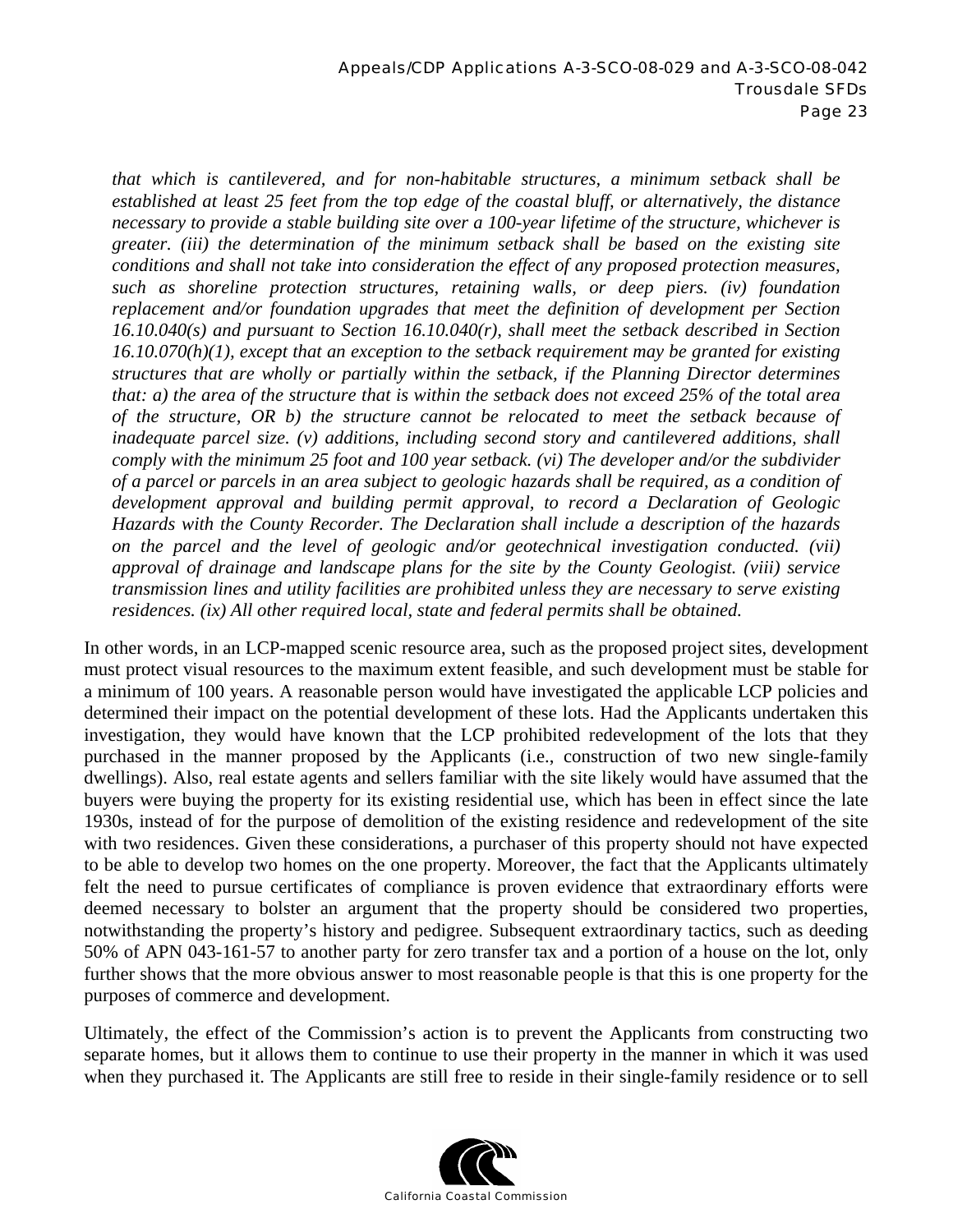*that which is cantilevered, and for non-habitable structures, a minimum setback shall be established at least 25 feet from the top edge of the coastal bluff, or alternatively, the distance necessary to provide a stable building site over a 100-year lifetime of the structure, whichever is greater. (iii) the determination of the minimum setback shall be based on the existing site conditions and shall not take into consideration the effect of any proposed protection measures, such as shoreline protection structures, retaining walls, or deep piers. (iv) foundation replacement and/or foundation upgrades that meet the definition of development per Section 16.10.040(s) and pursuant to Section 16.10.040(r), shall meet the setback described in Section 16.10.070(h)(1), except that an exception to the setback requirement may be granted for existing structures that are wholly or partially within the setback, if the Planning Director determines that: a) the area of the structure that is within the setback does not exceed 25% of the total area of the structure, OR b) the structure cannot be relocated to meet the setback because of inadequate parcel size. (v) additions, including second story and cantilevered additions, shall comply with the minimum 25 foot and 100 year setback. (vi) The developer and/or the subdivider of a parcel or parcels in an area subject to geologic hazards shall be required, as a condition of development approval and building permit approval, to record a Declaration of Geologic Hazards with the County Recorder. The Declaration shall include a description of the hazards on the parcel and the level of geologic and/or geotechnical investigation conducted. (vii) approval of drainage and landscape plans for the site by the County Geologist. (viii) service transmission lines and utility facilities are prohibited unless they are necessary to serve existing residences. (ix) All other required local, state and federal permits shall be obtained.* 

In other words, in an LCP-mapped scenic resource area, such as the proposed project sites, development must protect visual resources to the maximum extent feasible, and such development must be stable for a minimum of 100 years. A reasonable person would have investigated the applicable LCP policies and determined their impact on the potential development of these lots. Had the Applicants undertaken this investigation, they would have known that the LCP prohibited redevelopment of the lots that they purchased in the manner proposed by the Applicants (i.e., construction of two new single-family dwellings). Also, real estate agents and sellers familiar with the site likely would have assumed that the buyers were buying the property for its existing residential use, which has been in effect since the late 1930s, instead of for the purpose of demolition of the existing residence and redevelopment of the site with two residences. Given these considerations, a purchaser of this property should not have expected to be able to develop two homes on the one property. Moreover, the fact that the Applicants ultimately felt the need to pursue certificates of compliance is proven evidence that extraordinary efforts were deemed necessary to bolster an argument that the property should be considered two properties, notwithstanding the property's history and pedigree. Subsequent extraordinary tactics, such as deeding 50% of APN 043-161-57 to another party for zero transfer tax and a portion of a house on the lot, only further shows that the more obvious answer to most reasonable people is that this is one property for the purposes of commerce and development.

Ultimately, the effect of the Commission's action is to prevent the Applicants from constructing two separate homes, but it allows them to continue to use their property in the manner in which it was used when they purchased it. The Applicants are still free to reside in their single-family residence or to sell

![](_page_22_Picture_4.jpeg)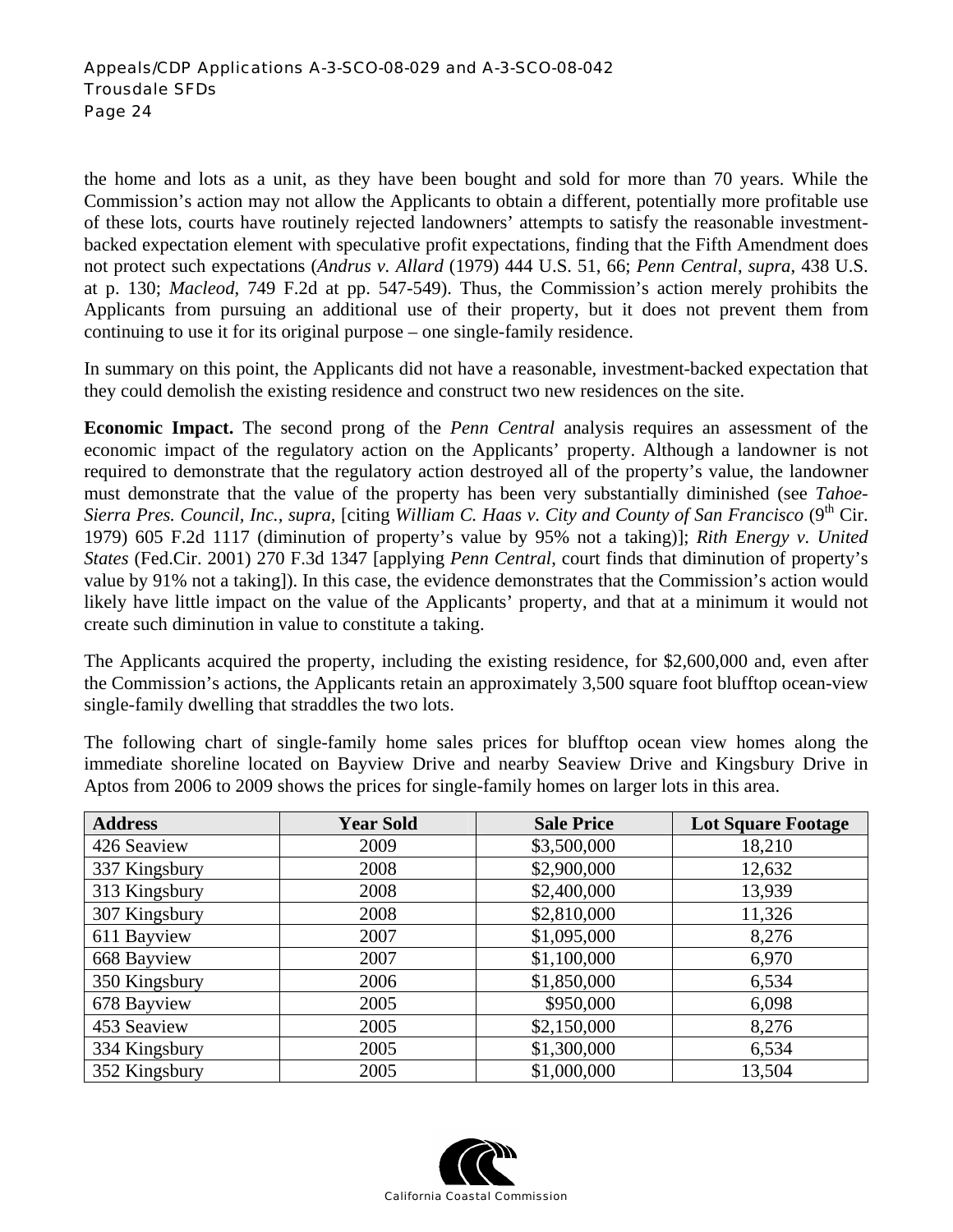the home and lots as a unit, as they have been bought and sold for more than 70 years. While the Commission's action may not allow the Applicants to obtain a different, potentially more profitable use of these lots, courts have routinely rejected landowners' attempts to satisfy the reasonable investmentbacked expectation element with speculative profit expectations, finding that the Fifth Amendment does not protect such expectations (*Andrus v. Allard* (1979) 444 U.S. 51, 66; *Penn Central*, *supra*, 438 U.S. at p. 130; *Macleod*, 749 F.2d at pp. 547-549). Thus, the Commission's action merely prohibits the Applicants from pursuing an additional use of their property, but it does not prevent them from continuing to use it for its original purpose – one single-family residence.

In summary on this point, the Applicants did not have a reasonable, investment-backed expectation that they could demolish the existing residence and construct two new residences on the site.

**Economic Impact.** The second prong of the *Penn Central* analysis requires an assessment of the economic impact of the regulatory action on the Applicants' property. Although a landowner is not required to demonstrate that the regulatory action destroyed all of the property's value, the landowner must demonstrate that the value of the property has been very substantially diminished (see *Tahoe-Sierra Pres. Council, Inc., supra, [citing William C. Haas v. City and County of San Francisco* (9<sup>th</sup> Cir. 1979) 605 F.2d 1117 (diminution of property's value by 95% not a taking)]; *Rith Energy v. United States* (Fed.Cir. 2001) 270 F.3d 1347 [applying *Penn Central*, court finds that diminution of property's value by 91% not a taking]). In this case, the evidence demonstrates that the Commission's action would likely have little impact on the value of the Applicants' property, and that at a minimum it would not create such diminution in value to constitute a taking.

The Applicants acquired the property, including the existing residence, for \$2,600,000 and, even after the Commission's actions, the Applicants retain an approximately 3,500 square foot blufftop ocean-view single-family dwelling that straddles the two lots.

The following chart of single-family home sales prices for blufftop ocean view homes along the immediate shoreline located on Bayview Drive and nearby Seaview Drive and Kingsbury Drive in Aptos from 2006 to 2009 shows the prices for single-family homes on larger lots in this area.

| <b>Address</b> | <b>Year Sold</b> | <b>Sale Price</b> | <b>Lot Square Footage</b> |
|----------------|------------------|-------------------|---------------------------|
| 426 Seaview    | 2009             | \$3,500,000       | 18,210                    |
| 337 Kingsbury  | 2008             | \$2,900,000       | 12,632                    |
| 313 Kingsbury  | 2008             | \$2,400,000       | 13,939                    |
| 307 Kingsbury  | 2008             | \$2,810,000       | 11,326                    |
| 611 Bayview    | 2007             | \$1,095,000       | 8,276                     |
| 668 Bayview    | 2007             | \$1,100,000       | 6,970                     |
| 350 Kingsbury  | 2006             | \$1,850,000       | 6,534                     |
| 678 Bayview    | 2005             | \$950,000         | 6,098                     |
| 453 Seaview    | 2005             | \$2,150,000       | 8,276                     |
| 334 Kingsbury  | 2005             | \$1,300,000       | 6,534                     |
| 352 Kingsbury  | 2005             | \$1,000,000       | 13,504                    |

![](_page_23_Picture_7.jpeg)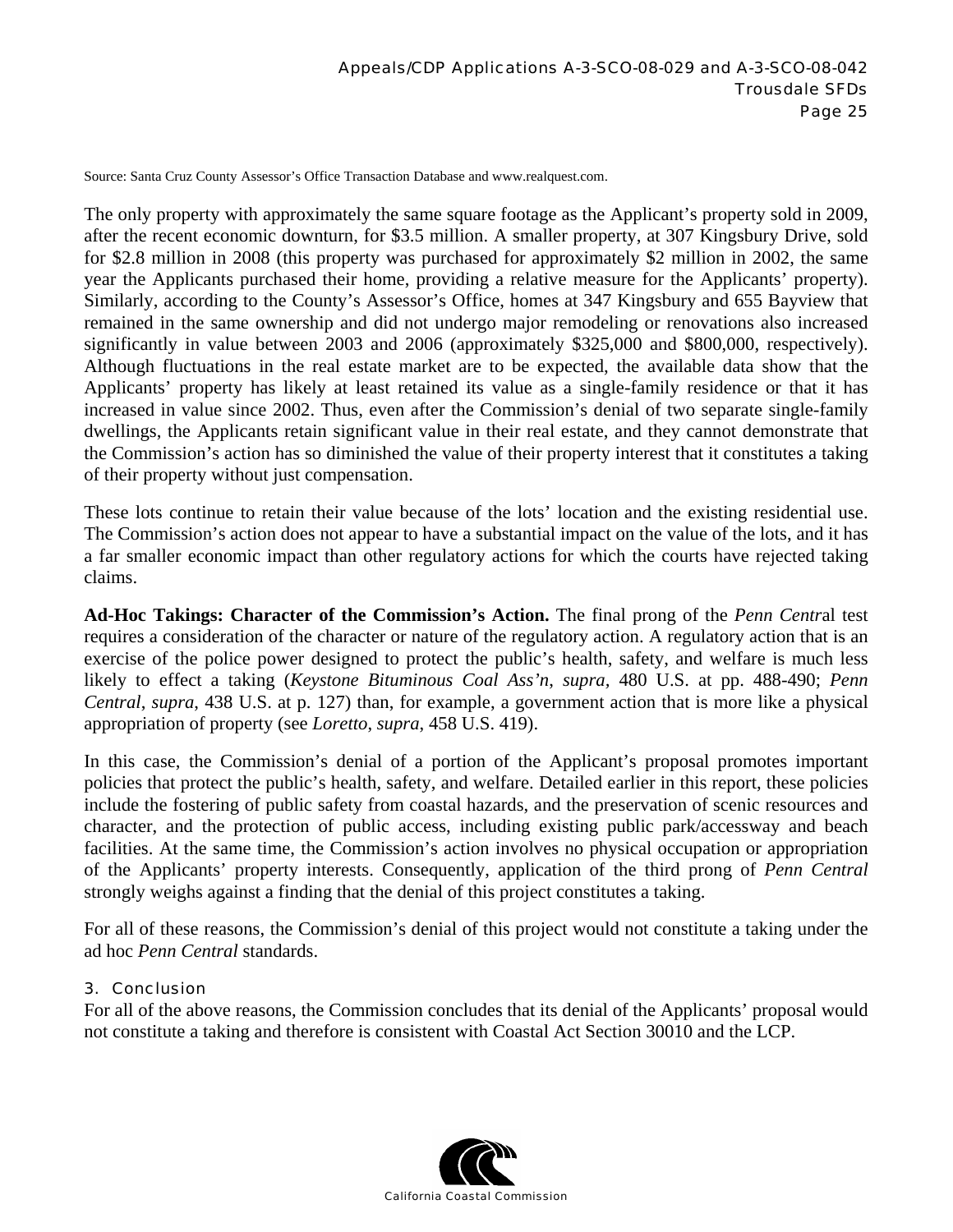Source: Santa Cruz County Assessor's Office Transaction Database and www.realquest.com.

The only property with approximately the same square footage as the Applicant's property sold in 2009, after the recent economic downturn, for \$3.5 million. A smaller property, at 307 Kingsbury Drive, sold for \$2.8 million in 2008 (this property was purchased for approximately \$2 million in 2002, the same year the Applicants purchased their home, providing a relative measure for the Applicants' property). Similarly, according to the County's Assessor's Office, homes at 347 Kingsbury and 655 Bayview that remained in the same ownership and did not undergo major remodeling or renovations also increased significantly in value between 2003 and 2006 (approximately \$325,000 and \$800,000, respectively). Although fluctuations in the real estate market are to be expected, the available data show that the Applicants' property has likely at least retained its value as a single-family residence or that it has increased in value since 2002. Thus, even after the Commission's denial of two separate single-family dwellings, the Applicants retain significant value in their real estate, and they cannot demonstrate that the Commission's action has so diminished the value of their property interest that it constitutes a taking of their property without just compensation.

These lots continue to retain their value because of the lots' location and the existing residential use. The Commission's action does not appear to have a substantial impact on the value of the lots, and it has a far smaller economic impact than other regulatory actions for which the courts have rejected taking claims.

**Ad-Hoc Takings: Character of the Commission's Action.** The final prong of the *Penn Centr*al test requires a consideration of the character or nature of the regulatory action. A regulatory action that is an exercise of the police power designed to protect the public's health, safety, and welfare is much less likely to effect a taking (*Keystone Bituminous Coal Ass'n*, *supra,* 480 U.S. at pp. 488-490; *Penn Central*, *supra*, 438 U.S. at p. 127) than, for example, a government action that is more like a physical appropriation of property (see *Loretto*, *supra*, 458 U.S. 419).

In this case, the Commission's denial of a portion of the Applicant's proposal promotes important policies that protect the public's health, safety, and welfare. Detailed earlier in this report, these policies include the fostering of public safety from coastal hazards, and the preservation of scenic resources and character, and the protection of public access, including existing public park/accessway and beach facilities. At the same time, the Commission's action involves no physical occupation or appropriation of the Applicants' property interests. Consequently, application of the third prong of *Penn Central*  strongly weighs against a finding that the denial of this project constitutes a taking.

For all of these reasons, the Commission's denial of this project would not constitute a taking under the ad hoc *Penn Central* standards.

#### 3. Conclusion

For all of the above reasons, the Commission concludes that its denial of the Applicants' proposal would not constitute a taking and therefore is consistent with Coastal Act Section 30010 and the LCP.

![](_page_24_Picture_9.jpeg)